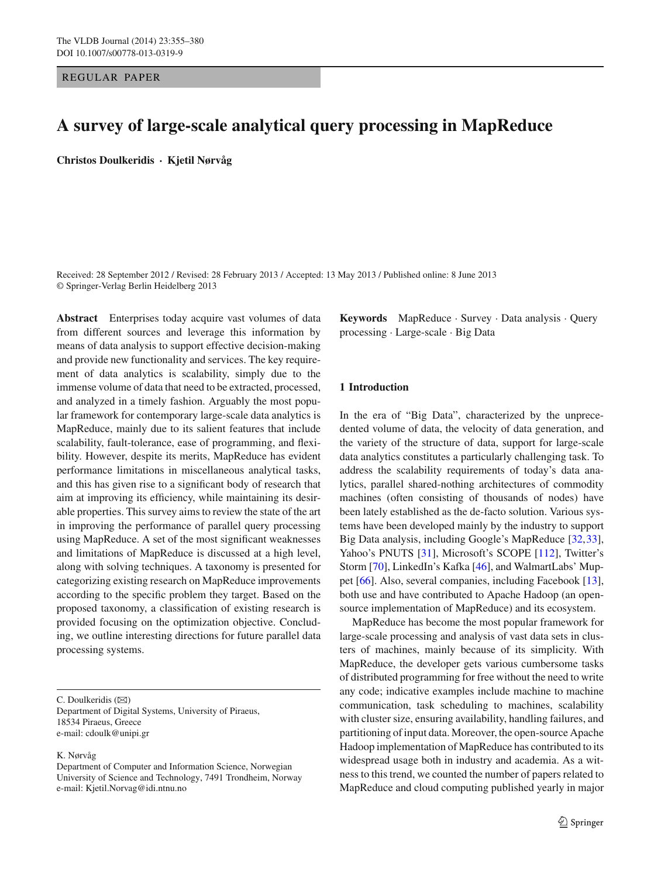## REGULAR PAPER

# **A survey of large-scale analytical query processing in MapReduce**

**Christos Doulkeridis · Kjetil Nørvåg**

Received: 28 September 2012 / Revised: 28 February 2013 / Accepted: 13 May 2013 / Published online: 8 June 2013 © Springer-Verlag Berlin Heidelberg 2013

**Abstract** Enterprises today acquire vast volumes of data from different sources and leverage this information by means of data analysis to support effective decision-making and provide new functionality and services. The key requirement of data analytics is scalability, simply due to the immense volume of data that need to be extracted, processed, and analyzed in a timely fashion. Arguably the most popular framework for contemporary large-scale data analytics is MapReduce, mainly due to its salient features that include scalability, fault-tolerance, ease of programming, and flexibility. However, despite its merits, MapReduce has evident performance limitations in miscellaneous analytical tasks, and this has given rise to a significant body of research that aim at improving its efficiency, while maintaining its desirable properties. This survey aims to review the state of the art in improving the performance of parallel query processing using MapReduce. A set of the most significant weaknesses and limitations of MapReduce is discussed at a high level, along with solving techniques. A taxonomy is presented for categorizing existing research on MapReduce improvements according to the specific problem they target. Based on the proposed taxonomy, a classification of existing research is provided focusing on the optimization objective. Concluding, we outline interesting directions for future parallel data processing systems.

C. Doulkeridis  $(\boxtimes)$ Department of Digital Systems, University of Piraeus, 18534 Piraeus, Greece e-mail: cdoulk@unipi.gr

## K. Nørvåg

**Keywords** MapReduce · Survey · Data analysis · Query processing · Large-scale · Big Data

# **1 Introduction**

In the era of "Big Data", characterized by the unprecedented volume of data, the velocity of data generation, and the variety of the structure of data, support for large-scale data analytics constitutes a particularly challenging task. To address the scalability requirements of today's data analytics, parallel shared-nothing architectures of commodity machines (often consisting of thousands of nodes) have been lately established as the de-facto solution. Various systems have been developed mainly by the industry to support Big Data analysis, including Google's MapReduce [\[32](#page-23-0)[,33](#page-23-1)], Yahoo's PNUTS [\[31\]](#page-23-2), Microsoft's SCOPE [\[112](#page-25-0)], Twitter's Storm [\[70\]](#page-24-0), LinkedIn's Kafka [\[46\]](#page-24-1), and WalmartLabs' Muppet [\[66](#page-24-2)]. Also, several companies, including Facebook [\[13](#page-23-3)], both use and have contributed to Apache Hadoop (an opensource implementation of MapReduce) and its ecosystem.

MapReduce has become the most popular framework for large-scale processing and analysis of vast data sets in clusters of machines, mainly because of its simplicity. With MapReduce, the developer gets various cumbersome tasks of distributed programming for free without the need to write any code; indicative examples include machine to machine communication, task scheduling to machines, scalability with cluster size, ensuring availability, handling failures, and partitioning of input data. Moreover, the open-source Apache Hadoop implementation of MapReduce has contributed to its widespread usage both in industry and academia. As a witness to this trend, we counted the number of papers related to MapReduce and cloud computing published yearly in major

Department of Computer and Information Science, Norwegian University of Science and Technology, 7491 Trondheim, Norway e-mail: Kjetil.Norvag@idi.ntnu.no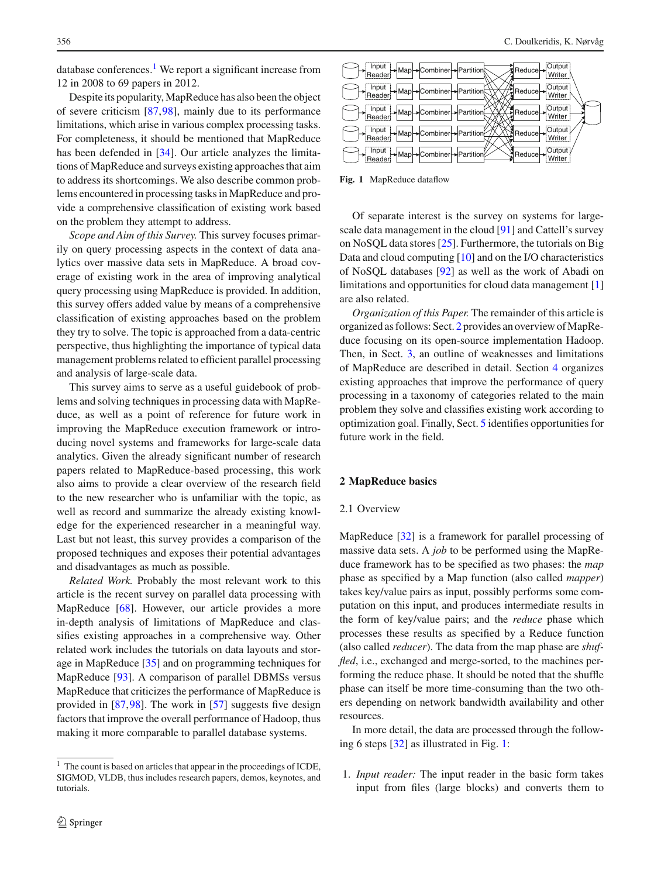database conferences.<sup>1</sup> We report a significant increase from 12 in 2008 to 69 papers in 2012.

Despite its popularity,MapReduce has also been the object of severe criticism [\[87](#page-25-1)[,98](#page-25-2)], mainly due to its performance limitations, which arise in various complex processing tasks. For completeness, it should be mentioned that MapReduce has been defended in [\[34\]](#page-23-4). Our article analyzes the limitations of MapReduce and surveys existing approaches that aim to address its shortcomings. We also describe common problems encountered in processing tasks in MapReduce and provide a comprehensive classification of existing work based on the problem they attempt to address.

*Scope and Aim of this Survey.* This survey focuses primarily on query processing aspects in the context of data analytics over massive data sets in MapReduce. A broad coverage of existing work in the area of improving analytical query processing using MapReduce is provided. In addition, this survey offers added value by means of a comprehensive classification of existing approaches based on the problem they try to solve. The topic is approached from a data-centric perspective, thus highlighting the importance of typical data management problems related to efficient parallel processing and analysis of large-scale data.

This survey aims to serve as a useful guidebook of problems and solving techniques in processing data with MapReduce, as well as a point of reference for future work in improving the MapReduce execution framework or introducing novel systems and frameworks for large-scale data analytics. Given the already significant number of research papers related to MapReduce-based processing, this work also aims to provide a clear overview of the research field to the new researcher who is unfamiliar with the topic, as well as record and summarize the already existing knowledge for the experienced researcher in a meaningful way. Last but not least, this survey provides a comparison of the proposed techniques and exposes their potential advantages and disadvantages as much as possible.

*Related Work.* Probably the most relevant work to this article is the recent survey on parallel data processing with MapReduce [\[68\]](#page-24-3). However, our article provides a more in-depth analysis of limitations of MapReduce and classifies existing approaches in a comprehensive way. Other related work includes the tutorials on data layouts and storage in MapReduce [\[35](#page-23-5)] and on programming techniques for MapReduce [\[93\]](#page-25-3). A comparison of parallel DBMSs versus MapReduce that criticizes the performance of MapReduce is provided in [\[87,](#page-25-1)[98\]](#page-25-2). The work in [\[57\]](#page-24-4) suggests five design factors that improve the overall performance of Hadoop, thus making it more comparable to parallel database systems.





<span id="page-1-2"></span>**Fig. 1** MapReduce dataflow

Of separate interest is the survey on systems for largescale data management in the cloud [\[91](#page-25-4)] and Cattell's survey on NoSQL data stores [\[25\]](#page-23-6). Furthermore, the tutorials on Big Data and cloud computing [\[10\]](#page-23-7) and on the I/O characteristics of NoSQL databases [\[92](#page-25-5)] as well as the work of Abadi on limitations and opportunities for cloud data management [\[1\]](#page-23-8) are also related.

*Organization of this Paper.* The remainder of this article is organized as follows: Sect. [2](#page-1-1) provides an overview of MapReduce focusing on its open-source implementation Hadoop. Then, in Sect. [3,](#page-3-0) an outline of weaknesses and limitations of MapReduce are described in detail. Section [4](#page-5-0) organizes existing approaches that improve the performance of query processing in a taxonomy of categories related to the main problem they solve and classifies existing work according to optimization goal. Finally, Sect. [5](#page-20-0) identifies opportunities for future work in the field.

#### <span id="page-1-1"></span>**2 MapReduce basics**

#### 2.1 Overview

MapReduce [\[32\]](#page-23-0) is a framework for parallel processing of massive data sets. A *job* to be performed using the MapReduce framework has to be specified as two phases: the *map* phase as specified by a Map function (also called *mapper*) takes key/value pairs as input, possibly performs some computation on this input, and produces intermediate results in the form of key/value pairs; and the *reduce* phase which processes these results as specified by a Reduce function (also called *reducer*). The data from the map phase are *shuffled*, i.e., exchanged and merge-sorted, to the machines performing the reduce phase. It should be noted that the shuffle phase can itself be more time-consuming than the two others depending on network bandwidth availability and other resources.

In more detail, the data are processed through the following 6 steps [\[32\]](#page-23-0) as illustrated in Fig. [1:](#page-1-2)

1. *Input reader:* The input reader in the basic form takes input from files (large blocks) and converts them to

<span id="page-1-0"></span><sup>&</sup>lt;sup>1</sup> The count is based on articles that appear in the proceedings of ICDE, SIGMOD, VLDB, thus includes research papers, demos, keynotes, and tutorials.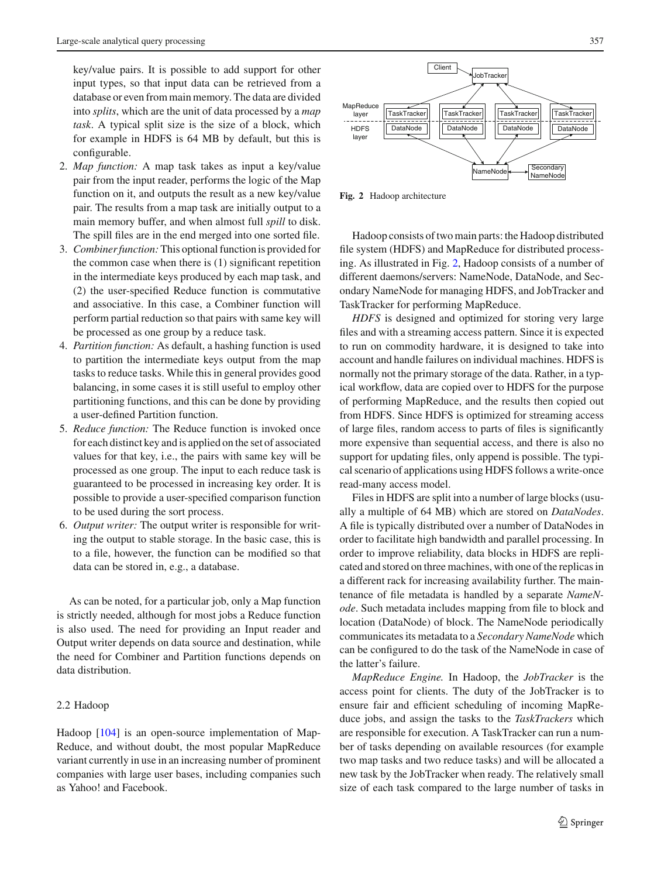key/value pairs. It is possible to add support for other input types, so that input data can be retrieved from a database or even from main memory. The data are divided into *splits*, which are the unit of data processed by a *map task*. A typical split size is the size of a block, which for example in HDFS is 64 MB by default, but this is configurable.

- 2. *Map function:* A map task takes as input a key/value pair from the input reader, performs the logic of the Map function on it, and outputs the result as a new key/value pair. The results from a map task are initially output to a main memory buffer, and when almost full *spill* to disk. The spill files are in the end merged into one sorted file.
- 3. *Combiner function:*This optional function is provided for the common case when there is (1) significant repetition in the intermediate keys produced by each map task, and (2) the user-specified Reduce function is commutative and associative. In this case, a Combiner function will perform partial reduction so that pairs with same key will be processed as one group by a reduce task.
- 4. *Partition function:* As default, a hashing function is used to partition the intermediate keys output from the map tasks to reduce tasks. While this in general provides good balancing, in some cases it is still useful to employ other partitioning functions, and this can be done by providing a user-defined Partition function.
- 5. *Reduce function:* The Reduce function is invoked once for each distinct key and is applied on the set of associated values for that key, i.e., the pairs with same key will be processed as one group. The input to each reduce task is guaranteed to be processed in increasing key order. It is possible to provide a user-specified comparison function to be used during the sort process.
- 6. *Output writer:* The output writer is responsible for writing the output to stable storage. In the basic case, this is to a file, however, the function can be modified so that data can be stored in, e.g., a database.

As can be noted, for a particular job, only a Map function is strictly needed, although for most jobs a Reduce function is also used. The need for providing an Input reader and Output writer depends on data source and destination, while the need for Combiner and Partition functions depends on data distribution.

## 2.2 Hadoop

Hadoop [\[104\]](#page-25-6) is an open-source implementation of Map-Reduce, and without doubt, the most popular MapReduce variant currently in use in an increasing number of prominent companies with large user bases, including companies such as Yahoo! and Facebook.



<span id="page-2-0"></span>**Fig. 2** Hadoop architecture

Hadoop consists of two main parts: the Hadoop distributed file system (HDFS) and MapReduce for distributed processing. As illustrated in Fig. [2,](#page-2-0) Hadoop consists of a number of different daemons/servers: NameNode, DataNode, and Secondary NameNode for managing HDFS, and JobTracker and TaskTracker for performing MapReduce.

*HDFS* is designed and optimized for storing very large files and with a streaming access pattern. Since it is expected to run on commodity hardware, it is designed to take into account and handle failures on individual machines. HDFS is normally not the primary storage of the data. Rather, in a typical workflow, data are copied over to HDFS for the purpose of performing MapReduce, and the results then copied out from HDFS. Since HDFS is optimized for streaming access of large files, random access to parts of files is significantly more expensive than sequential access, and there is also no support for updating files, only append is possible. The typical scenario of applications using HDFS follows a write-once read-many access model.

Files in HDFS are split into a number of large blocks (usually a multiple of 64 MB) which are stored on *DataNodes*. A file is typically distributed over a number of DataNodes in order to facilitate high bandwidth and parallel processing. In order to improve reliability, data blocks in HDFS are replicated and stored on three machines, with one of the replicas in a different rack for increasing availability further. The maintenance of file metadata is handled by a separate *NameNode*. Such metadata includes mapping from file to block and location (DataNode) of block. The NameNode periodically communicates its metadata to a *Secondary NameNode* which can be configured to do the task of the NameNode in case of the latter's failure.

*MapReduce Engine.* In Hadoop, the *JobTracker* is the access point for clients. The duty of the JobTracker is to ensure fair and efficient scheduling of incoming MapReduce jobs, and assign the tasks to the *TaskTrackers* which are responsible for execution. A TaskTracker can run a number of tasks depending on available resources (for example two map tasks and two reduce tasks) and will be allocated a new task by the JobTracker when ready. The relatively small size of each task compared to the large number of tasks in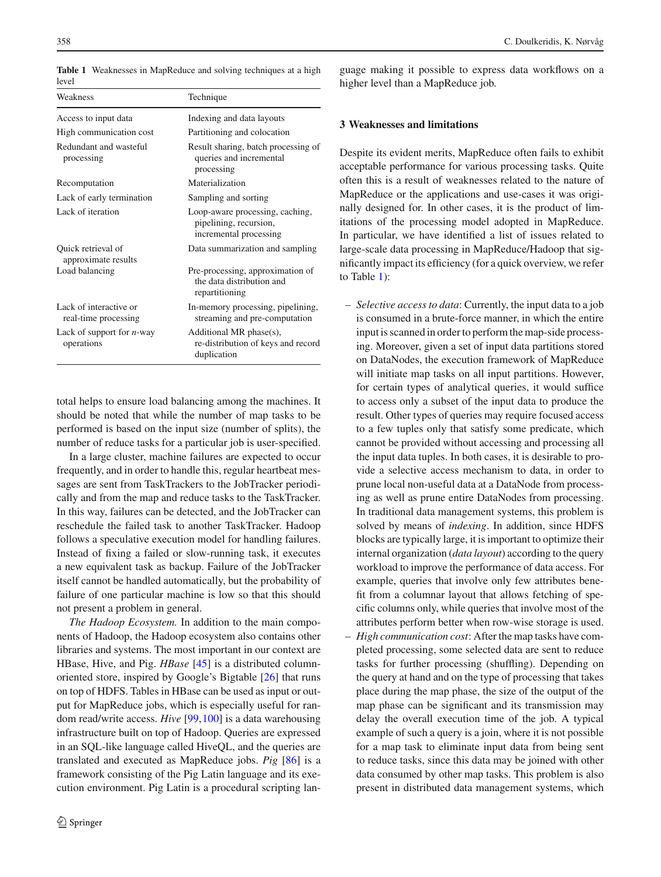<span id="page-3-1"></span>

| Weakness                                       | Technique                                                                           |
|------------------------------------------------|-------------------------------------------------------------------------------------|
| Access to input data                           | Indexing and data layouts                                                           |
| High communication cost                        | Partitioning and colocation                                                         |
| Redundant and wasteful<br>processing           | Result sharing, batch processing of<br>queries and incremental<br>processing        |
| Recomputation                                  | Materialization                                                                     |
| Lack of early termination                      | Sampling and sorting                                                                |
| Lack of iteration                              | Loop-aware processing, caching,<br>pipelining, recursion,<br>incremental processing |
| Quick retrieval of<br>approximate results      | Data summarization and sampling                                                     |
| Load balancing                                 | Pre-processing, approximation of<br>the data distribution and<br>repartitioning     |
| Lack of interactive or<br>real-time processing | In-memory processing, pipelining,<br>streaming and pre-computation                  |
| Lack of support for $n$ -way<br>operations     | Additional MR phase(s),<br>re-distribution of keys and record<br>duplication        |

**Table 1** Weaknesses in MapReduce and solving techniques at a high level

total helps to ensure load balancing among the machines. It should be noted that while the number of map tasks to be performed is based on the input size (number of splits), the number of reduce tasks for a particular job is user-specified.

In a large cluster, machine failures are expected to occur frequently, and in order to handle this, regular heartbeat messages are sent from TaskTrackers to the JobTracker periodically and from the map and reduce tasks to the TaskTracker. In this way, failures can be detected, and the JobTracker can reschedule the failed task to another TaskTracker. Hadoop follows a speculative execution model for handling failures. Instead of fixing a failed or slow-running task, it executes a new equivalent task as backup. Failure of the JobTracker itself cannot be handled automatically, but the probability of failure of one particular machine is low so that this should not present a problem in general.

*The Hadoop Ecosystem.* In addition to the main components of Hadoop, the Hadoop ecosystem also contains other libraries and systems. The most important in our context are HBase, Hive, and Pig. *HBase* [\[45\]](#page-24-5) is a distributed columnoriented store, inspired by Google's Bigtable [\[26\]](#page-23-9) that runs on top of HDFS. Tables in HBase can be used as input or output for MapReduce jobs, which is especially useful for random read/write access. *Hive* [\[99](#page-25-7)[,100](#page-25-8)] is a data warehousing infrastructure built on top of Hadoop. Queries are expressed in an SQL-like language called HiveQL, and the queries are translated and executed as MapReduce jobs. *Pig* [\[86](#page-25-9)] is a framework consisting of the Pig Latin language and its execution environment. Pig Latin is a procedural scripting language making it possible to express data workflows on a higher level than a MapReduce job.

# <span id="page-3-0"></span>**3 Weaknesses and limitations**

Despite its evident merits, MapReduce often fails to exhibit acceptable performance for various processing tasks. Quite often this is a result of weaknesses related to the nature of MapReduce or the applications and use-cases it was originally designed for. In other cases, it is the product of limitations of the processing model adopted in MapReduce. In particular, we have identified a list of issues related to large-scale data processing in MapReduce/Hadoop that significantly impact its efficiency (for a quick overview, we refer to Table [1\)](#page-3-1):

- *Selective access to data*: Currently, the input data to a job is consumed in a brute-force manner, in which the entire input is scanned in order to perform the map-side processing. Moreover, given a set of input data partitions stored on DataNodes, the execution framework of MapReduce will initiate map tasks on all input partitions. However, for certain types of analytical queries, it would suffice to access only a subset of the input data to produce the result. Other types of queries may require focused access to a few tuples only that satisfy some predicate, which cannot be provided without accessing and processing all the input data tuples. In both cases, it is desirable to provide a selective access mechanism to data, in order to prune local non-useful data at a DataNode from processing as well as prune entire DataNodes from processing. In traditional data management systems, this problem is solved by means of *indexing*. In addition, since HDFS blocks are typically large, it is important to optimize their internal organization (*data layout*) according to the query workload to improve the performance of data access. For example, queries that involve only few attributes benefit from a columnar layout that allows fetching of specific columns only, while queries that involve most of the attributes perform better when row-wise storage is used.
- *High communication cost*: After the map tasks have completed processing, some selected data are sent to reduce tasks for further processing (shuffling). Depending on the query at hand and on the type of processing that takes place during the map phase, the size of the output of the map phase can be significant and its transmission may delay the overall execution time of the job. A typical example of such a query is a join, where it is not possible for a map task to eliminate input data from being sent to reduce tasks, since this data may be joined with other data consumed by other map tasks. This problem is also present in distributed data management systems, which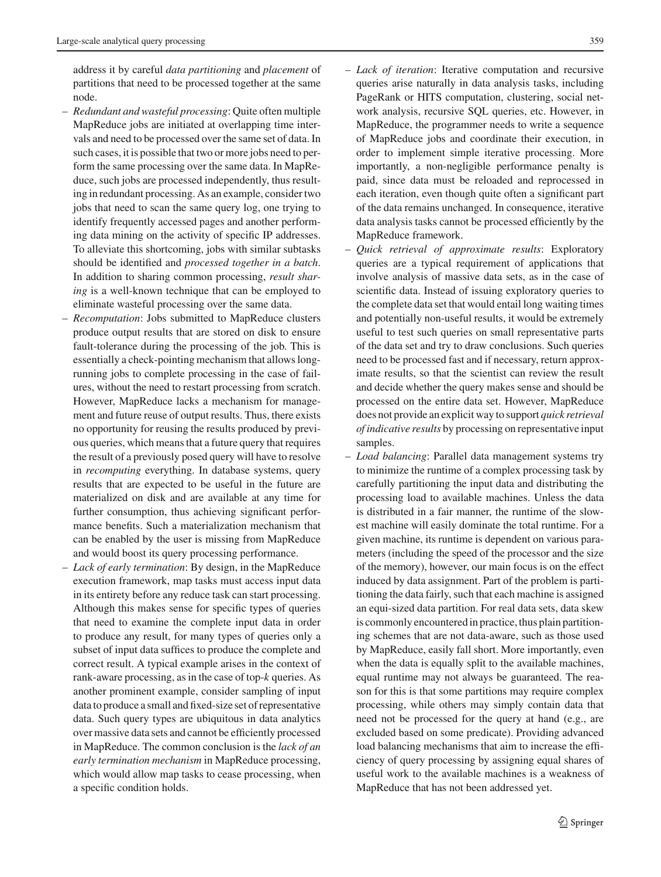address it by careful *data partitioning* and *placement* of partitions that need to be processed together at the same node.

- *Redundant and wasteful processing*: Quite often multiple MapReduce jobs are initiated at overlapping time intervals and need to be processed over the same set of data. In such cases, it is possible that two or more jobs need to perform the same processing over the same data. In MapReduce, such jobs are processed independently, thus resulting in redundant processing. As an example, consider two jobs that need to scan the same query log, one trying to identify frequently accessed pages and another performing data mining on the activity of specific IP addresses. To alleviate this shortcoming, jobs with similar subtasks should be identified and *processed together in a batch*. In addition to sharing common processing, *result sharing* is a well-known technique that can be employed to eliminate wasteful processing over the same data.
- *Recomputation*: Jobs submitted to MapReduce clusters produce output results that are stored on disk to ensure fault-tolerance during the processing of the job. This is essentially a check-pointing mechanism that allows longrunning jobs to complete processing in the case of failures, without the need to restart processing from scratch. However, MapReduce lacks a mechanism for management and future reuse of output results. Thus, there exists no opportunity for reusing the results produced by previous queries, which means that a future query that requires the result of a previously posed query will have to resolve in *recomputing* everything. In database systems, query results that are expected to be useful in the future are materialized on disk and are available at any time for further consumption, thus achieving significant performance benefits. Such a materialization mechanism that can be enabled by the user is missing from MapReduce and would boost its query processing performance.
- *Lack of early termination*: By design, in the MapReduce execution framework, map tasks must access input data in its entirety before any reduce task can start processing. Although this makes sense for specific types of queries that need to examine the complete input data in order to produce any result, for many types of queries only a subset of input data suffices to produce the complete and correct result. A typical example arises in the context of rank-aware processing, as in the case of top-*k* queries. As another prominent example, consider sampling of input data to produce a small and fixed-size set of representative data. Such query types are ubiquitous in data analytics over massive data sets and cannot be efficiently processed in MapReduce. The common conclusion is the *lack of an early termination mechanism* in MapReduce processing, which would allow map tasks to cease processing, when a specific condition holds.
- *Lack of iteration*: Iterative computation and recursive queries arise naturally in data analysis tasks, including PageRank or HITS computation, clustering, social network analysis, recursive SQL queries, etc. However, in MapReduce, the programmer needs to write a sequence of MapReduce jobs and coordinate their execution, in order to implement simple iterative processing. More importantly, a non-negligible performance penalty is paid, since data must be reloaded and reprocessed in each iteration, even though quite often a significant part of the data remains unchanged. In consequence, iterative data analysis tasks cannot be processed efficiently by the MapReduce framework.
- *Quick retrieval of approximate results*: Exploratory queries are a typical requirement of applications that involve analysis of massive data sets, as in the case of scientific data. Instead of issuing exploratory queries to the complete data set that would entail long waiting times and potentially non-useful results, it would be extremely useful to test such queries on small representative parts of the data set and try to draw conclusions. Such queries need to be processed fast and if necessary, return approximate results, so that the scientist can review the result and decide whether the query makes sense and should be processed on the entire data set. However, MapReduce does not provide an explicit way to support *quick retrieval of indicative results* by processing on representative input samples.
- *Load balancing*: Parallel data management systems try to minimize the runtime of a complex processing task by carefully partitioning the input data and distributing the processing load to available machines. Unless the data is distributed in a fair manner, the runtime of the slowest machine will easily dominate the total runtime. For a given machine, its runtime is dependent on various parameters (including the speed of the processor and the size of the memory), however, our main focus is on the effect induced by data assignment. Part of the problem is partitioning the data fairly, such that each machine is assigned an equi-sized data partition. For real data sets, data skew is commonly encountered in practice, thus plain partitioning schemes that are not data-aware, such as those used by MapReduce, easily fall short. More importantly, even when the data is equally split to the available machines, equal runtime may not always be guaranteed. The reason for this is that some partitions may require complex processing, while others may simply contain data that need not be processed for the query at hand (e.g., are excluded based on some predicate). Providing advanced load balancing mechanisms that aim to increase the efficiency of query processing by assigning equal shares of useful work to the available machines is a weakness of MapReduce that has not been addressed yet.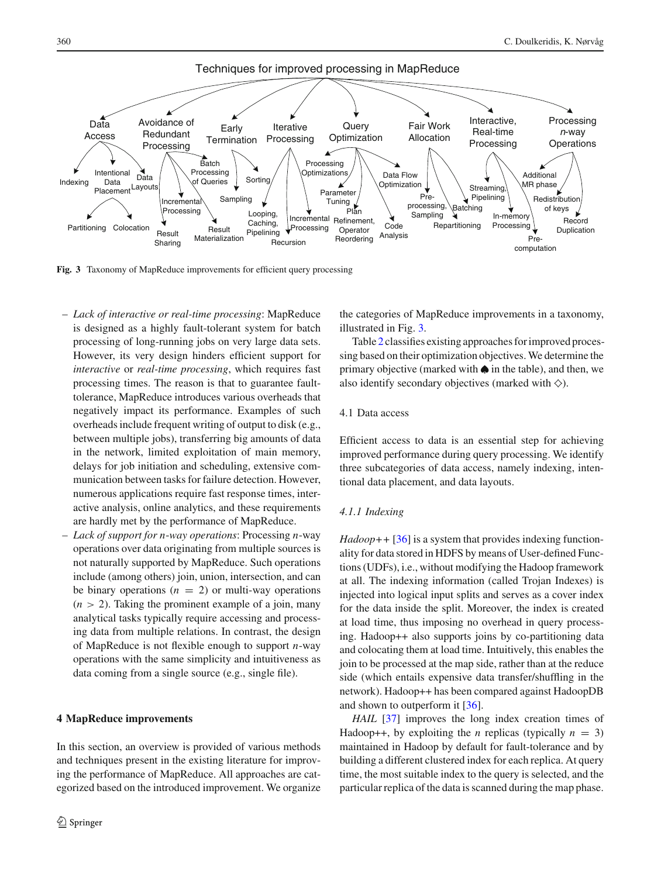

<span id="page-5-1"></span>**Fig. 3** Taxonomy of MapReduce improvements for efficient query processing

- *Lack of interactive or real-time processing*: MapReduce is designed as a highly fault-tolerant system for batch processing of long-running jobs on very large data sets. However, its very design hinders efficient support for *interactive* or *real-time processing*, which requires fast processing times. The reason is that to guarantee faulttolerance, MapReduce introduces various overheads that negatively impact its performance. Examples of such overheads include frequent writing of output to disk (e.g., between multiple jobs), transferring big amounts of data in the network, limited exploitation of main memory, delays for job initiation and scheduling, extensive communication between tasks for failure detection. However, numerous applications require fast response times, interactive analysis, online analytics, and these requirements are hardly met by the performance of MapReduce.
- *Lack of support for n*-*way operations*: Processing *n*-way operations over data originating from multiple sources is not naturally supported by MapReduce. Such operations include (among others) join, union, intersection, and can be binary operations  $(n = 2)$  or multi-way operations  $(n > 2)$ . Taking the prominent example of a join, many analytical tasks typically require accessing and processing data from multiple relations. In contrast, the design of MapReduce is not flexible enough to support *n*-way operations with the same simplicity and intuitiveness as data coming from a single source (e.g., single file).

# <span id="page-5-0"></span>**4 MapReduce improvements**

In this section, an overview is provided of various methods and techniques present in the existing literature for improving the performance of MapReduce. All approaches are categorized based on the introduced improvement. We organize the categories of MapReduce improvements in a taxonomy, illustrated in Fig. [3.](#page-5-1)

Table [2](#page-6-0) classifies existing approaches for improved processing based on their optimization objectives. We determine the primary objective (marked with ♠ in the table), and then, we also identify secondary objectives (marked with  $\diamondsuit$ ).

## 4.1 Data access

Efficient access to data is an essential step for achieving improved performance during query processing. We identify three subcategories of data access, namely indexing, intentional data placement, and data layouts.

#### *4.1.1 Indexing*

*Hadoop++* [\[36](#page-23-10)] is a system that provides indexing functionality for data stored in HDFS by means of User-defined Functions (UDFs), i.e., without modifying the Hadoop framework at all. The indexing information (called Trojan Indexes) is injected into logical input splits and serves as a cover index for the data inside the split. Moreover, the index is created at load time, thus imposing no overhead in query processing. Hadoop++ also supports joins by co-partitioning data and colocating them at load time. Intuitively, this enables the join to be processed at the map side, rather than at the reduce side (which entails expensive data transfer/shuffling in the network). Hadoop++ has been compared against HadoopDB and shown to outperform it [\[36](#page-23-10)].

*HAIL* [\[37\]](#page-23-11) improves the long index creation times of Hadoop<sub>++</sub>, by exploiting the *n* replicas (typically  $n = 3$ ) maintained in Hadoop by default for fault-tolerance and by building a different clustered index for each replica. At query time, the most suitable index to the query is selected, and the particular replica of the data is scanned during the map phase.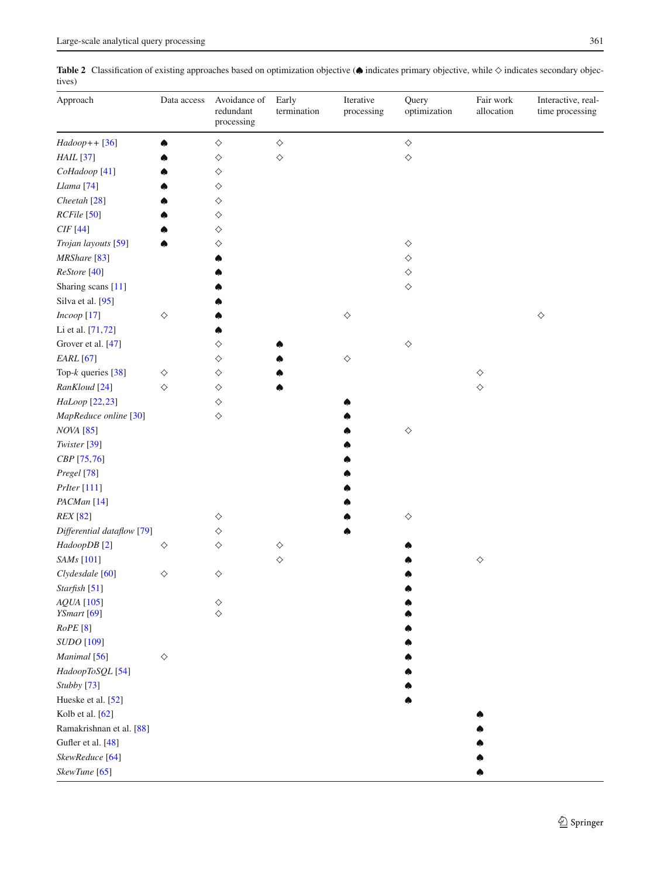<span id="page-6-0"></span>**Table 2** Classification of existing approaches based on optimization objective (♠ indicates primary objective, while ◇ indicates secondary objectives)

| Approach                   | Data access    | Avoidance of<br>redundant<br>processing | Early<br>termination | Iterative<br>processing | Query<br>optimization | Fair work<br>allocation | Interactive, real-<br>time processing |
|----------------------------|----------------|-----------------------------------------|----------------------|-------------------------|-----------------------|-------------------------|---------------------------------------|
| $Hadoop++[36]$             |                | $\diamondsuit$                          | $\diamondsuit$       |                         | $\diamondsuit$        |                         |                                       |
| <b>HAIL</b> [37]           |                | $\diamondsuit$                          | $\diamondsuit$       |                         | $\diamondsuit$        |                         |                                       |
| CoHadoop <sup>[41]</sup>   |                | $\diamondsuit$                          |                      |                         |                       |                         |                                       |
| Llama <sup>[74]</sup>      |                | $\diamondsuit$                          |                      |                         |                       |                         |                                       |
| Cheetah <sup>[28]</sup>    |                | $\diamondsuit$                          |                      |                         |                       |                         |                                       |
| RCFile <sup>[50]</sup>     |                | $\diamondsuit$                          |                      |                         |                       |                         |                                       |
| CIF[44]                    |                | $\diamond$                              |                      |                         |                       |                         |                                       |
| Trojan layouts [59]        |                | $\diamond$                              |                      |                         | $\diamondsuit$        |                         |                                       |
| MRShare <sup>[83]</sup>    |                |                                         |                      |                         | $\diamondsuit$        |                         |                                       |
| ReStore <sup>[40]</sup>    |                |                                         |                      |                         | $\diamondsuit$        |                         |                                       |
| Sharing scans [11]         |                |                                         |                      |                         | $\diamondsuit$        |                         |                                       |
| Silva et al. [95]          |                |                                         |                      |                         |                       |                         |                                       |
| Incoop <sup>[17]</sup>     | $\diamondsuit$ |                                         |                      | $\diamondsuit$          |                       |                         | $\diamondsuit$                        |
| Li et al. [71,72]          |                |                                         |                      |                         |                       |                         |                                       |
| Grover et al. [47]         |                | $\diamond$                              |                      |                         | $\diamondsuit$        |                         |                                       |
| <b>EARL</b> [67]           |                | $\diamond$                              |                      | $\diamondsuit$          |                       |                         |                                       |
| Top- $k$ queries [ $38$ ]  | $\diamondsuit$ | $\diamondsuit$                          |                      |                         |                       | $\diamondsuit$          |                                       |
| RanKloud <sup>[24]</sup>   | $\Diamond$     | $\diamondsuit$                          |                      |                         |                       | $\diamondsuit$          |                                       |
| HaLoop <sup>[22,23]</sup>  |                | $\diamond$                              |                      |                         |                       |                         |                                       |
| MapReduce online [30]      |                | $\diamondsuit$                          |                      |                         |                       |                         |                                       |
| <b>NOVA</b> [85]           |                |                                         |                      |                         | $\diamondsuit$        |                         |                                       |
| Twister <sup>[39]</sup>    |                |                                         |                      |                         |                       |                         |                                       |
| CBP [75,76]                |                |                                         |                      |                         |                       |                         |                                       |
| Pregel [78]                |                |                                         |                      |                         |                       |                         |                                       |
| PrIter <sup>[111]</sup>    |                |                                         |                      |                         |                       |                         |                                       |
| PACMan <sup>[14]</sup>     |                |                                         |                      |                         |                       |                         |                                       |
| <b>REX</b> [82]            |                | $\diamond$                              |                      |                         | $\diamondsuit$        |                         |                                       |
| Differential dataflow [79] |                | $\Diamond$                              |                      |                         |                       |                         |                                       |
| HadoopDB <sup>[2]</sup>    | $\diamondsuit$ | $\diamondsuit$                          | $\diamondsuit$       |                         |                       |                         |                                       |
| SAMs [101]                 |                |                                         | $\diamondsuit$       |                         |                       | $\diamondsuit$          |                                       |
| Clydesdale <sup>[60]</sup> | $\diamondsuit$ | $\diamondsuit$                          |                      |                         |                       |                         |                                       |
| Starfish <sup>[51]</sup>   |                |                                         |                      |                         |                       |                         |                                       |
| AQUA [105]                 |                | $\diamond$                              |                      |                         |                       |                         |                                       |
| YSmart <sup>[69]</sup>     |                | $\diamond$                              |                      |                         |                       |                         |                                       |
| RoPE[8]                    |                |                                         |                      |                         |                       |                         |                                       |
| SUDO [109]                 |                |                                         |                      |                         |                       |                         |                                       |
| Manimal <sup>[56]</sup>    | $\diamondsuit$ |                                         |                      |                         |                       |                         |                                       |
| HadoopToSQL [54]           |                |                                         |                      |                         |                       |                         |                                       |
| Stubby [73]                |                |                                         |                      |                         |                       |                         |                                       |
| Hueske et al. [52]         |                |                                         |                      |                         |                       |                         |                                       |
| Kolb et al. [62]           |                |                                         |                      |                         |                       |                         |                                       |
| Ramakrishnan et al. [88]   |                |                                         |                      |                         |                       |                         |                                       |
| Gufler et al. [48]         |                |                                         |                      |                         |                       |                         |                                       |
| SkewReduce <sup>[64]</sup> |                |                                         |                      |                         |                       |                         |                                       |
| SkewTune [65]              |                |                                         |                      |                         |                       |                         |                                       |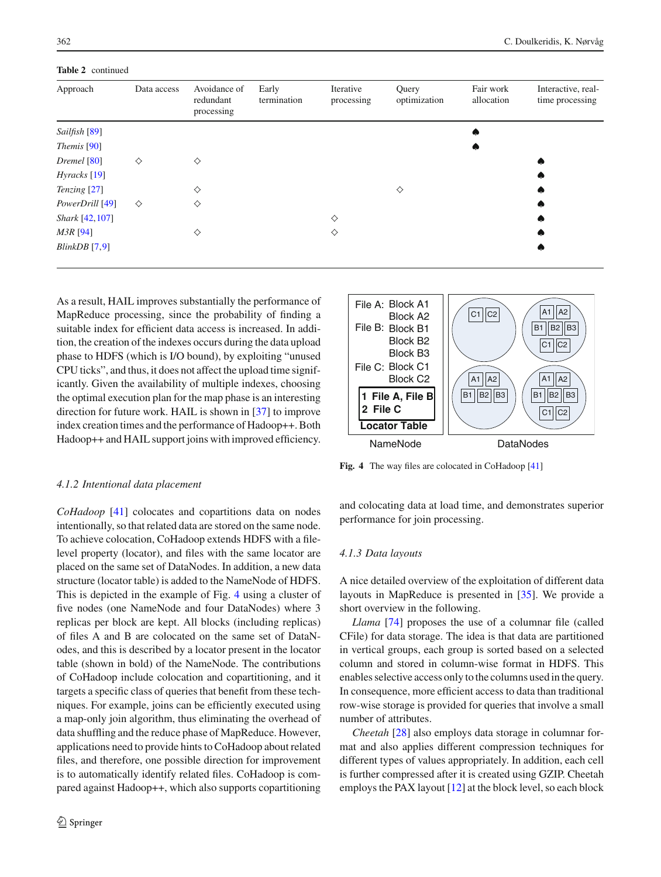| Approach                 | Data access | Avoidance of<br>redundant<br>processing | Early<br>termination | Iterative<br>processing | Query<br>optimization | Fair work<br>allocation | Interactive, real-<br>time processing |
|--------------------------|-------------|-----------------------------------------|----------------------|-------------------------|-----------------------|-------------------------|---------------------------------------|
| Sailfish <sup>[89]</sup> |             |                                         |                      |                         |                       |                         |                                       |
| <i>Themis</i> [ $90$ ]   |             |                                         |                      |                         |                       |                         |                                       |
| Dremel [80]              | ♦           | ♦                                       |                      |                         |                       |                         |                                       |
| $Hyracks$ [19]           |             |                                         |                      |                         |                       |                         |                                       |
| <i>Tenzing</i> $[27]$    |             | ♦                                       |                      |                         | ♦                     |                         |                                       |
| PowerDrill [49]          | ♦           | ♦                                       |                      |                         |                       |                         |                                       |
| Shark [42, 107]          |             |                                         |                      | ♦                       |                       |                         |                                       |
| M3R [94]                 |             | ♦                                       |                      | ♦                       |                       |                         |                                       |
| $BlinkDB$ [7,9]          |             |                                         |                      |                         |                       |                         |                                       |
|                          |             |                                         |                      |                         |                       |                         |                                       |

As a result, HAIL improves substantially the performance of MapReduce processing, since the probability of finding a suitable index for efficient data access is increased. In addition, the creation of the indexes occurs during the data upload phase to HDFS (which is I/O bound), by exploiting "unused CPU ticks", and thus, it does not affect the upload time significantly. Given the availability of multiple indexes, choosing the optimal execution plan for the map phase is an interesting direction for future work. HAIL is shown in [\[37\]](#page-23-11) to improve index creation times and the performance of Hadoop++. Both Hadoop++ and HAIL support joins with improved efficiency.

## *4.1.2 Intentional data placement*

*CoHadoop* [\[41](#page-24-6)] colocates and copartitions data on nodes intentionally, so that related data are stored on the same node. To achieve colocation, CoHadoop extends HDFS with a filelevel property (locator), and files with the same locator are placed on the same set of DataNodes. In addition, a new data structure (locator table) is added to the NameNode of HDFS. This is depicted in the example of Fig. [4](#page-7-0) using a cluster of five nodes (one NameNode and four DataNodes) where 3 replicas per block are kept. All blocks (including replicas) of files A and B are colocated on the same set of DataNodes, and this is described by a locator present in the locator table (shown in bold) of the NameNode. The contributions of CoHadoop include colocation and copartitioning, and it targets a specific class of queries that benefit from these techniques. For example, joins can be efficiently executed using a map-only join algorithm, thus eliminating the overhead of data shuffling and the reduce phase of MapReduce. However, applications need to provide hints to CoHadoop about related files, and therefore, one possible direction for improvement is to automatically identify related files. CoHadoop is compared against Hadoop++, which also supports copartitioning



<span id="page-7-0"></span>Fig. 4 The way files are colocated in CoHadoop [\[41\]](#page-24-6)

and colocating data at load time, and demonstrates superior performance for join processing.

# *4.1.3 Data layouts*

A nice detailed overview of the exploitation of different data layouts in MapReduce is presented in [\[35](#page-23-5)]. We provide a short overview in the following.

*Llama* [\[74\]](#page-24-7) proposes the use of a columnar file (called CFile) for data storage. The idea is that data are partitioned in vertical groups, each group is sorted based on a selected column and stored in column-wise format in HDFS. This enables selective access only to the columns used in the query. In consequence, more efficient access to data than traditional row-wise storage is provided for queries that involve a small number of attributes.

*Cheetah* [\[28\]](#page-23-12) also employs data storage in columnar format and also applies different compression techniques for different types of values appropriately. In addition, each cell is further compressed after it is created using GZIP. Cheetah employs the PAX layout [\[12](#page-23-25)] at the block level, so each block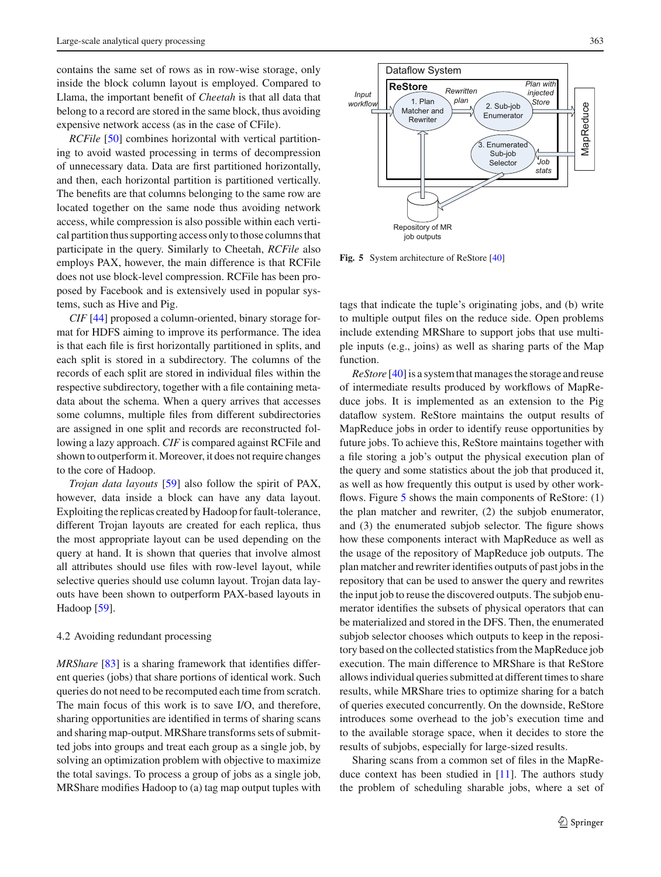contains the same set of rows as in row-wise storage, only inside the block column layout is employed. Compared to Llama, the important benefit of *Cheetah* is that all data that belong to a record are stored in the same block, thus avoiding expensive network access (as in the case of CFile).

*RCFile* [\[50](#page-24-8)] combines horizontal with vertical partitioning to avoid wasted processing in terms of decompression of unnecessary data. Data are first partitioned horizontally, and then, each horizontal partition is partitioned vertically. The benefits are that columns belonging to the same row are located together on the same node thus avoiding network access, while compression is also possible within each vertical partition thus supporting access only to those columns that participate in the query. Similarly to Cheetah, *RCFile* also employs PAX, however, the main difference is that RCFile does not use block-level compression. RCFile has been proposed by Facebook and is extensively used in popular systems, such as Hive and Pig.

*CIF* [\[44\]](#page-24-9) proposed a column-oriented, binary storage format for HDFS aiming to improve its performance. The idea is that each file is first horizontally partitioned in splits, and each split is stored in a subdirectory. The columns of the records of each split are stored in individual files within the respective subdirectory, together with a file containing metadata about the schema. When a query arrives that accesses some columns, multiple files from different subdirectories are assigned in one split and records are reconstructed following a lazy approach. *CIF* is compared against RCFile and shown to outperform it. Moreover, it does not require changes to the core of Hadoop.

*Trojan data layouts* [\[59](#page-24-10)] also follow the spirit of PAX, however, data inside a block can have any data layout. Exploiting the replicas created by Hadoop for fault-tolerance, different Trojan layouts are created for each replica, thus the most appropriate layout can be used depending on the query at hand. It is shown that queries that involve almost all attributes should use files with row-level layout, while selective queries should use column layout. Trojan data layouts have been shown to outperform PAX-based layouts in Hadoop [\[59](#page-24-10)].

### 4.2 Avoiding redundant processing

*MRShare* [\[83\]](#page-25-10) is a sharing framework that identifies different queries (jobs) that share portions of identical work. Such queries do not need to be recomputed each time from scratch. The main focus of this work is to save I/O, and therefore, sharing opportunities are identified in terms of sharing scans and sharing map-output. MRShare transforms sets of submitted jobs into groups and treat each group as a single job, by solving an optimization problem with objective to maximize the total savings. To process a group of jobs as a single job, MRShare modifies Hadoop to (a) tag map output tuples with



<span id="page-8-0"></span>**Fig. 5** System architecture of ReStore [\[40](#page-24-11)]

tags that indicate the tuple's originating jobs, and (b) write to multiple output files on the reduce side. Open problems include extending MRShare to support jobs that use multiple inputs (e.g., joins) as well as sharing parts of the Map function.

*ReStore* [\[40](#page-24-11)] is a system that manages the storage and reuse of intermediate results produced by workflows of MapReduce jobs. It is implemented as an extension to the Pig dataflow system. ReStore maintains the output results of MapReduce jobs in order to identify reuse opportunities by future jobs. To achieve this, ReStore maintains together with a file storing a job's output the physical execution plan of the query and some statistics about the job that produced it, as well as how frequently this output is used by other workflows. Figure [5](#page-8-0) shows the main components of ReStore: (1) the plan matcher and rewriter, (2) the subjob enumerator, and (3) the enumerated subjob selector. The figure shows how these components interact with MapReduce as well as the usage of the repository of MapReduce job outputs. The plan matcher and rewriter identifies outputs of past jobs in the repository that can be used to answer the query and rewrites the input job to reuse the discovered outputs. The subjob enumerator identifies the subsets of physical operators that can be materialized and stored in the DFS. Then, the enumerated subjob selector chooses which outputs to keep in the repository based on the collected statistics from the MapReduce job execution. The main difference to MRShare is that ReStore allows individual queries submitted at different times to share results, while MRShare tries to optimize sharing for a batch of queries executed concurrently. On the downside, ReStore introduces some overhead to the job's execution time and to the available storage space, when it decides to store the results of subjobs, especially for large-sized results.

Sharing scans from a common set of files in the MapReduce context has been studied in [\[11](#page-23-13)]. The authors study the problem of scheduling sharable jobs, where a set of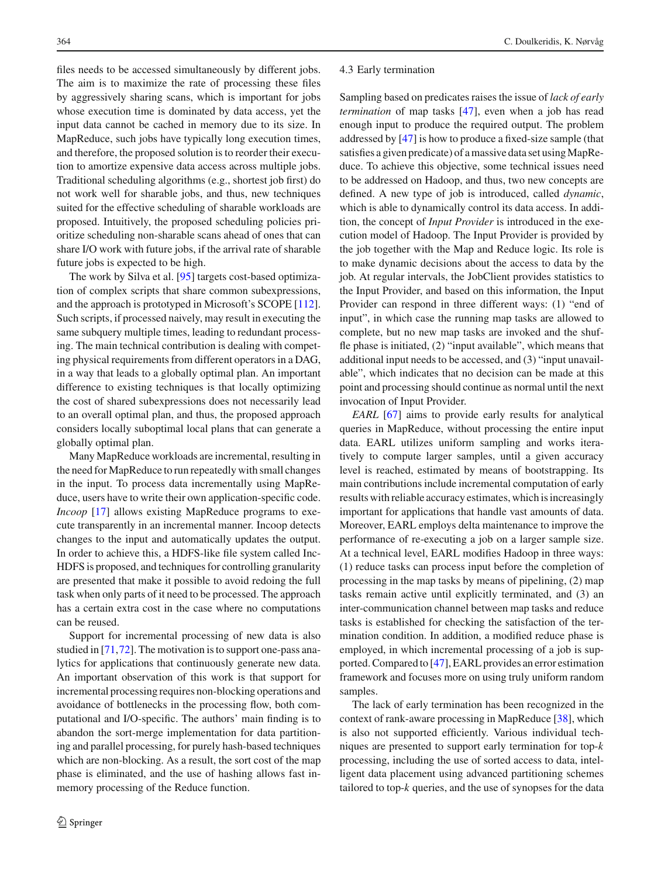files needs to be accessed simultaneously by different jobs. The aim is to maximize the rate of processing these files by aggressively sharing scans, which is important for jobs whose execution time is dominated by data access, yet the input data cannot be cached in memory due to its size. In MapReduce, such jobs have typically long execution times, and therefore, the proposed solution is to reorder their execution to amortize expensive data access across multiple jobs. Traditional scheduling algorithms (e.g., shortest job first) do not work well for sharable jobs, and thus, new techniques suited for the effective scheduling of sharable workloads are proposed. Intuitively, the proposed scheduling policies prioritize scheduling non-sharable scans ahead of ones that can share I/O work with future jobs, if the arrival rate of sharable future jobs is expected to be high.

The work by Silva et al. [\[95](#page-25-11)] targets cost-based optimization of complex scripts that share common subexpressions, and the approach is prototyped in Microsoft's SCOPE [\[112](#page-25-0)]. Such scripts, if processed naively, may result in executing the same subquery multiple times, leading to redundant processing. The main technical contribution is dealing with competing physical requirements from different operators in a DAG, in a way that leads to a globally optimal plan. An important difference to existing techniques is that locally optimizing the cost of shared subexpressions does not necessarily lead to an overall optimal plan, and thus, the proposed approach considers locally suboptimal local plans that can generate a globally optimal plan.

Many MapReduce workloads are incremental, resulting in the need for MapReduce to run repeatedly with small changes in the input. To process data incrementally using MapReduce, users have to write their own application-specific code. *Incoop* [\[17\]](#page-23-14) allows existing MapReduce programs to execute transparently in an incremental manner. Incoop detects changes to the input and automatically updates the output. In order to achieve this, a HDFS-like file system called Inc-HDFS is proposed, and techniques for controlling granularity are presented that make it possible to avoid redoing the full task when only parts of it need to be processed. The approach has a certain extra cost in the case where no computations can be reused.

Support for incremental processing of new data is also studied in [\[71](#page-24-12)[,72](#page-24-13)]. The motivation is to support one-pass analytics for applications that continuously generate new data. An important observation of this work is that support for incremental processing requires non-blocking operations and avoidance of bottlenecks in the processing flow, both computational and I/O-specific. The authors' main finding is to abandon the sort-merge implementation for data partitioning and parallel processing, for purely hash-based techniques which are non-blocking. As a result, the sort cost of the map phase is eliminated, and the use of hashing allows fast inmemory processing of the Reduce function.

#### 4.3 Early termination

Sampling based on predicates raises the issue of *lack of early termination* of map tasks [\[47](#page-24-14)], even when a job has read enough input to produce the required output. The problem addressed by [\[47\]](#page-24-14) is how to produce a fixed-size sample (that satisfies a given predicate) of a massive data set using MapReduce. To achieve this objective, some technical issues need to be addressed on Hadoop, and thus, two new concepts are defined. A new type of job is introduced, called *dynamic*, which is able to dynamically control its data access. In addition, the concept of *Input Provider* is introduced in the execution model of Hadoop. The Input Provider is provided by the job together with the Map and Reduce logic. Its role is to make dynamic decisions about the access to data by the job. At regular intervals, the JobClient provides statistics to the Input Provider, and based on this information, the Input Provider can respond in three different ways: (1) "end of input", in which case the running map tasks are allowed to complete, but no new map tasks are invoked and the shuffle phase is initiated, (2) "input available", which means that additional input needs to be accessed, and (3) "input unavailable", which indicates that no decision can be made at this point and processing should continue as normal until the next invocation of Input Provider.

*EARL* [\[67\]](#page-24-15) aims to provide early results for analytical queries in MapReduce, without processing the entire input data. EARL utilizes uniform sampling and works iteratively to compute larger samples, until a given accuracy level is reached, estimated by means of bootstrapping. Its main contributions include incremental computation of early results with reliable accuracy estimates, which is increasingly important for applications that handle vast amounts of data. Moreover, EARL employs delta maintenance to improve the performance of re-executing a job on a larger sample size. At a technical level, EARL modifies Hadoop in three ways: (1) reduce tasks can process input before the completion of processing in the map tasks by means of pipelining, (2) map tasks remain active until explicitly terminated, and (3) an inter-communication channel between map tasks and reduce tasks is established for checking the satisfaction of the termination condition. In addition, a modified reduce phase is employed, in which incremental processing of a job is supported. Compared to [\[47\]](#page-24-14), EARL provides an error estimation framework and focuses more on using truly uniform random samples.

The lack of early termination has been recognized in the context of rank-aware processing in MapReduce [\[38](#page-24-16)], which is also not supported efficiently. Various individual techniques are presented to support early termination for top-*k* processing, including the use of sorted access to data, intelligent data placement using advanced partitioning schemes tailored to top-*k* queries, and the use of synopses for the data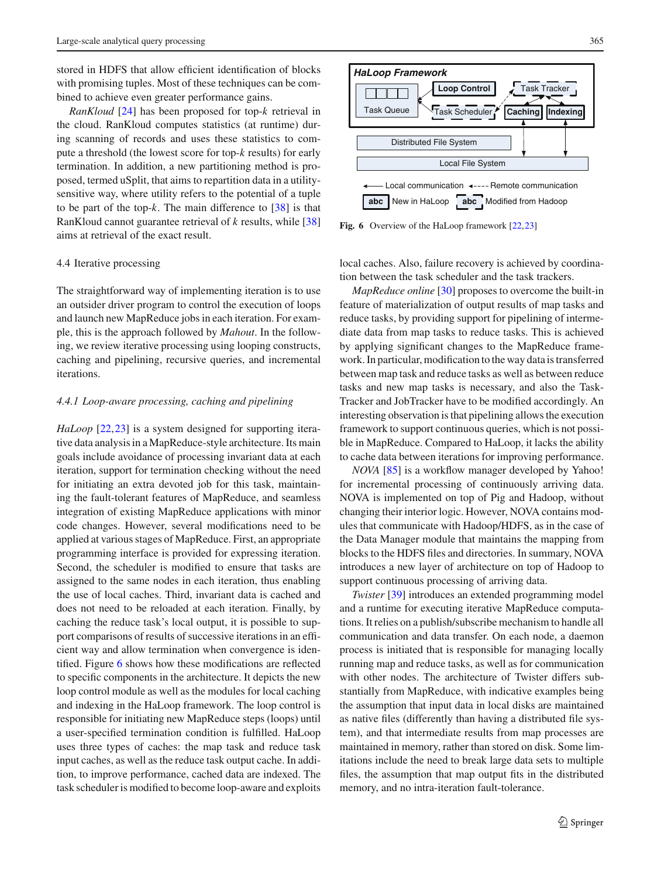stored in HDFS that allow efficient identification of blocks with promising tuples. Most of these techniques can be combined to achieve even greater performance gains.

*RanKloud* [\[24\]](#page-23-15) has been proposed for top-*k* retrieval in the cloud. RanKloud computes statistics (at runtime) during scanning of records and uses these statistics to compute a threshold (the lowest score for top-*k* results) for early termination. In addition, a new partitioning method is proposed, termed uSplit, that aims to repartition data in a utilitysensitive way, where utility refers to the potential of a tuple to be part of the top-*k*. The main difference to [\[38\]](#page-24-16) is that RanKloud cannot guarantee retrieval of *k* results, while [\[38\]](#page-24-16) aims at retrieval of the exact result.

#### 4.4 Iterative processing

The straightforward way of implementing iteration is to use an outsider driver program to control the execution of loops and launch new MapReduce jobs in each iteration. For example, this is the approach followed by *Mahout*. In the following, we review iterative processing using looping constructs, caching and pipelining, recursive queries, and incremental iterations.

#### *4.4.1 Loop-aware processing, caching and pipelining*

*HaLoop* [\[22](#page-23-16),[23](#page-23-17)] is a system designed for supporting iterative data analysis in a MapReduce-style architecture. Its main goals include avoidance of processing invariant data at each iteration, support for termination checking without the need for initiating an extra devoted job for this task, maintaining the fault-tolerant features of MapReduce, and seamless integration of existing MapReduce applications with minor code changes. However, several modifications need to be applied at various stages of MapReduce. First, an appropriate programming interface is provided for expressing iteration. Second, the scheduler is modified to ensure that tasks are assigned to the same nodes in each iteration, thus enabling the use of local caches. Third, invariant data is cached and does not need to be reloaded at each iteration. Finally, by caching the reduce task's local output, it is possible to support comparisons of results of successive iterations in an efficient way and allow termination when convergence is identified. Figure [6](#page-10-0) shows how these modifications are reflected to specific components in the architecture. It depicts the new loop control module as well as the modules for local caching and indexing in the HaLoop framework. The loop control is responsible for initiating new MapReduce steps (loops) until a user-specified termination condition is fulfilled. HaLoop uses three types of caches: the map task and reduce task input caches, as well as the reduce task output cache. In addition, to improve performance, cached data are indexed. The task scheduler is modified to become loop-aware and exploits



<span id="page-10-0"></span>Fig. 6 Overview of the HaLoop framework [\[22](#page-23-16)[,23](#page-23-17)]

local caches. Also, failure recovery is achieved by coordination between the task scheduler and the task trackers.

*MapReduce online* [\[30](#page-23-18)] proposes to overcome the built-in feature of materialization of output results of map tasks and reduce tasks, by providing support for pipelining of intermediate data from map tasks to reduce tasks. This is achieved by applying significant changes to the MapReduce framework. In particular, modification to the way data is transferred between map task and reduce tasks as well as between reduce tasks and new map tasks is necessary, and also the Task-Tracker and JobTracker have to be modified accordingly. An interesting observation is that pipelining allows the execution framework to support continuous queries, which is not possible in MapReduce. Compared to HaLoop, it lacks the ability to cache data between iterations for improving performance.

*NOVA* [\[85\]](#page-25-12) is a workflow manager developed by Yahoo! for incremental processing of continuously arriving data. NOVA is implemented on top of Pig and Hadoop, without changing their interior logic. However, NOVA contains modules that communicate with Hadoop/HDFS, as in the case of the Data Manager module that maintains the mapping from blocks to the HDFS files and directories. In summary, NOVA introduces a new layer of architecture on top of Hadoop to support continuous processing of arriving data.

*Twister* [\[39](#page-24-17)] introduces an extended programming model and a runtime for executing iterative MapReduce computations. It relies on a publish/subscribe mechanism to handle all communication and data transfer. On each node, a daemon process is initiated that is responsible for managing locally running map and reduce tasks, as well as for communication with other nodes. The architecture of Twister differs substantially from MapReduce, with indicative examples being the assumption that input data in local disks are maintained as native files (differently than having a distributed file system), and that intermediate results from map processes are maintained in memory, rather than stored on disk. Some limitations include the need to break large data sets to multiple files, the assumption that map output fits in the distributed memory, and no intra-iteration fault-tolerance.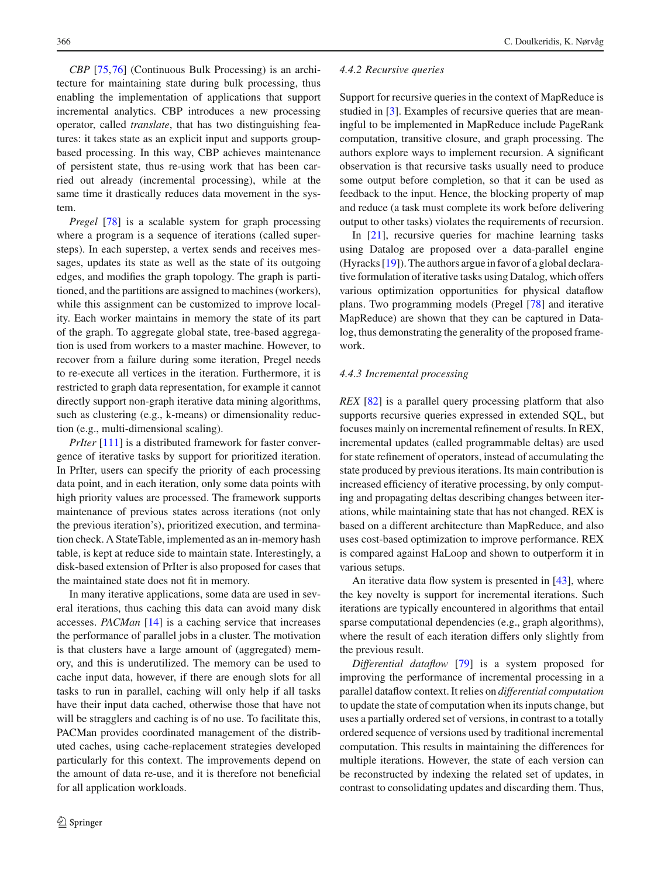*CBP* [\[75](#page-24-18)[,76](#page-25-13)] (Continuous Bulk Processing) is an architecture for maintaining state during bulk processing, thus enabling the implementation of applications that support incremental analytics. CBP introduces a new processing operator, called *translate*, that has two distinguishing features: it takes state as an explicit input and supports groupbased processing. In this way, CBP achieves maintenance of persistent state, thus re-using work that has been carried out already (incremental processing), while at the same time it drastically reduces data movement in the system.

*Pregel* [\[78\]](#page-25-14) is a scalable system for graph processing where a program is a sequence of iterations (called supersteps). In each superstep, a vertex sends and receives messages, updates its state as well as the state of its outgoing edges, and modifies the graph topology. The graph is partitioned, and the partitions are assigned to machines (workers), while this assignment can be customized to improve locality. Each worker maintains in memory the state of its part of the graph. To aggregate global state, tree-based aggregation is used from workers to a master machine. However, to recover from a failure during some iteration, Pregel needs to re-execute all vertices in the iteration. Furthermore, it is restricted to graph data representation, for example it cannot directly support non-graph iterative data mining algorithms, such as clustering (e.g., k-means) or dimensionality reduction (e.g., multi-dimensional scaling).

*PrIter* [\[111\]](#page-25-15) is a distributed framework for faster convergence of iterative tasks by support for prioritized iteration. In PrIter, users can specify the priority of each processing data point, and in each iteration, only some data points with high priority values are processed. The framework supports maintenance of previous states across iterations (not only the previous iteration's), prioritized execution, and termination check. A StateTable, implemented as an in-memory hash table, is kept at reduce side to maintain state. Interestingly, a disk-based extension of PrIter is also proposed for cases that the maintained state does not fit in memory.

In many iterative applications, some data are used in several iterations, thus caching this data can avoid many disk accesses. *PACMan* [\[14](#page-23-19)] is a caching service that increases the performance of parallel jobs in a cluster. The motivation is that clusters have a large amount of (aggregated) memory, and this is underutilized. The memory can be used to cache input data, however, if there are enough slots for all tasks to run in parallel, caching will only help if all tasks have their input data cached, otherwise those that have not will be stragglers and caching is of no use. To facilitate this, PACMan provides coordinated management of the distributed caches, using cache-replacement strategies developed particularly for this context. The improvements depend on the amount of data re-use, and it is therefore not beneficial for all application workloads.

#### *4.4.2 Recursive queries*

Support for recursive queries in the context of MapReduce is studied in [\[3](#page-23-26)]. Examples of recursive queries that are meaningful to be implemented in MapReduce include PageRank computation, transitive closure, and graph processing. The authors explore ways to implement recursion. A significant observation is that recursive tasks usually need to produce some output before completion, so that it can be used as feedback to the input. Hence, the blocking property of map and reduce (a task must complete its work before delivering output to other tasks) violates the requirements of recursion.

In [\[21](#page-23-27)], recursive queries for machine learning tasks using Datalog are proposed over a data-parallel engine (Hyracks [\[19](#page-23-21)]). The authors argue in favor of a global declarative formulation of iterative tasks using Datalog, which offers various optimization opportunities for physical dataflow plans. Two programming models (Pregel [\[78\]](#page-25-14) and iterative MapReduce) are shown that they can be captured in Datalog, thus demonstrating the generality of the proposed framework.

# *4.4.3 Incremental processing*

*REX* [\[82](#page-25-16)] is a parallel query processing platform that also supports recursive queries expressed in extended SQL, but focuses mainly on incremental refinement of results. In REX, incremental updates (called programmable deltas) are used for state refinement of operators, instead of accumulating the state produced by previous iterations. Its main contribution is increased efficiency of iterative processing, by only computing and propagating deltas describing changes between iterations, while maintaining state that has not changed. REX is based on a different architecture than MapReduce, and also uses cost-based optimization to improve performance. REX is compared against HaLoop and shown to outperform it in various setups.

An iterative data flow system is presented in [\[43](#page-24-32)], where the key novelty is support for incremental iterations. Such iterations are typically encountered in algorithms that entail sparse computational dependencies (e.g., graph algorithms), where the result of each iteration differs only slightly from the previous result.

*Differential dataflow* [\[79](#page-25-17)] is a system proposed for improving the performance of incremental processing in a parallel dataflow context. It relies on *differential computation* to update the state of computation when its inputs change, but uses a partially ordered set of versions, in contrast to a totally ordered sequence of versions used by traditional incremental computation. This results in maintaining the differences for multiple iterations. However, the state of each version can be reconstructed by indexing the related set of updates, in contrast to consolidating updates and discarding them. Thus,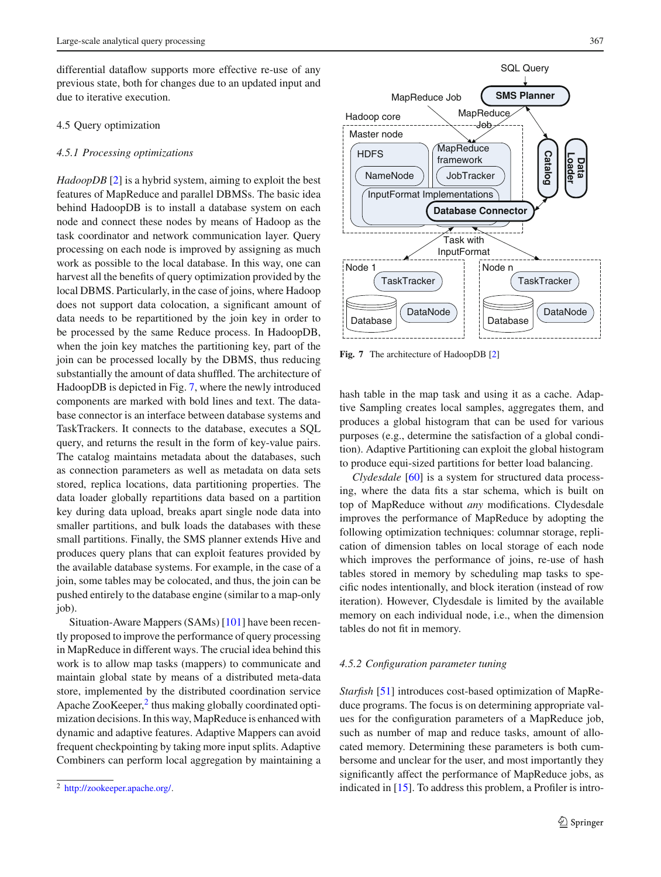differential dataflow supports more effective re-use of any previous state, both for changes due to an updated input and due to iterative execution.

# 4.5 Query optimization

# *4.5.1 Processing optimizations*

*HadoopDB* [\[2\]](#page-23-28) is a hybrid system, aiming to exploit the best features of MapReduce and parallel DBMSs. The basic idea behind HadoopDB is to install a database system on each node and connect these nodes by means of Hadoop as the task coordinator and network communication layer. Query processing on each node is improved by assigning as much work as possible to the local database. In this way, one can harvest all the benefits of query optimization provided by the local DBMS. Particularly, in the case of joins, where Hadoop does not support data colocation, a significant amount of data needs to be repartitioned by the join key in order to be processed by the same Reduce process. In HadoopDB, when the join key matches the partitioning key, part of the join can be processed locally by the DBMS, thus reducing substantially the amount of data shuffled. The architecture of HadoopDB is depicted in Fig. [7,](#page-12-0) where the newly introduced components are marked with bold lines and text. The database connector is an interface between database systems and TaskTrackers. It connects to the database, executes a SQL query, and returns the result in the form of key-value pairs. The catalog maintains metadata about the databases, such as connection parameters as well as metadata on data sets stored, replica locations, data partitioning properties. The data loader globally repartitions data based on a partition key during data upload, breaks apart single node data into smaller partitions, and bulk loads the databases with these small partitions. Finally, the SMS planner extends Hive and produces query plans that can exploit features provided by the available database systems. For example, in the case of a join, some tables may be colocated, and thus, the join can be pushed entirely to the database engine (similar to a map-only job).

Situation-Aware Mappers (SAMs) [\[101](#page-25-18)] have been recently proposed to improve the performance of query processing in MapReduce in different ways. The crucial idea behind this work is to allow map tasks (mappers) to communicate and maintain global state by means of a distributed meta-data store, implemented by the distributed coordination service Apache  $ZooKeeper$ <sup>2</sup>, thus making globally coordinated optimization decisions. In this way, MapReduce is enhanced with dynamic and adaptive features. Adaptive Mappers can avoid frequent checkpointing by taking more input splits. Adaptive Combiners can perform local aggregation by maintaining a



<span id="page-12-0"></span>**Fig. 7** The architecture of HadoopDB [\[2\]](#page-23-28)

hash table in the map task and using it as a cache. Adaptive Sampling creates local samples, aggregates them, and produces a global histogram that can be used for various purposes (e.g., determine the satisfaction of a global condition). Adaptive Partitioning can exploit the global histogram to produce equi-sized partitions for better load balancing.

*Clydesdale* [\[60](#page-24-19)] is a system for structured data processing, where the data fits a star schema, which is built on top of MapReduce without *any* modifications. Clydesdale improves the performance of MapReduce by adopting the following optimization techniques: columnar storage, replication of dimension tables on local storage of each node which improves the performance of joins, re-use of hash tables stored in memory by scheduling map tasks to specific nodes intentionally, and block iteration (instead of row iteration). However, Clydesdale is limited by the available memory on each individual node, i.e., when the dimension tables do not fit in memory.

# *4.5.2 Configuration parameter tuning*

*Starfish* [\[51\]](#page-24-20) introduces cost-based optimization of MapReduce programs. The focus is on determining appropriate values for the configuration parameters of a MapReduce job, such as number of map and reduce tasks, amount of allocated memory. Determining these parameters is both cumbersome and unclear for the user, and most importantly they significantly affect the performance of MapReduce jobs, as indicated in [\[15\]](#page-23-29). To address this problem, a Profiler is intro-

<span id="page-12-1"></span><sup>2</sup> [http://zookeeper.apache.org/.](http://zookeeper.apache.org/)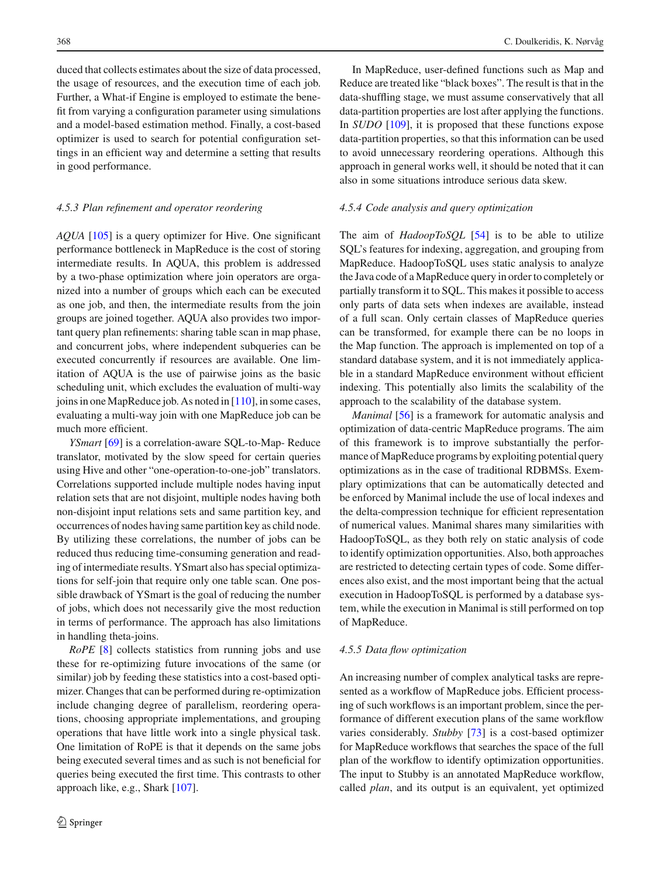duced that collects estimates about the size of data processed, the usage of resources, and the execution time of each job. Further, a What-if Engine is employed to estimate the benefit from varying a configuration parameter using simulations and a model-based estimation method. Finally, a cost-based optimizer is used to search for potential configuration settings in an efficient way and determine a setting that results in good performance.

#### *4.5.3 Plan refinement and operator reordering*

*AQUA* [\[105](#page-25-19)] is a query optimizer for Hive. One significant performance bottleneck in MapReduce is the cost of storing intermediate results. In AQUA, this problem is addressed by a two-phase optimization where join operators are organized into a number of groups which each can be executed as one job, and then, the intermediate results from the join groups are joined together. AQUA also provides two important query plan refinements: sharing table scan in map phase, and concurrent jobs, where independent subqueries can be executed concurrently if resources are available. One limitation of AQUA is the use of pairwise joins as the basic scheduling unit, which excludes the evaluation of multi-way joins in one MapReduce job. As noted in [\[110\]](#page-25-27), in some cases, evaluating a multi-way join with one MapReduce job can be much more efficient.

*YSmart* [\[69\]](#page-24-21) is a correlation-aware SQL-to-Map- Reduce translator, motivated by the slow speed for certain queries using Hive and other "one-operation-to-one-job" translators. Correlations supported include multiple nodes having input relation sets that are not disjoint, multiple nodes having both non-disjoint input relations sets and same partition key, and occurrences of nodes having same partition key as child node. By utilizing these correlations, the number of jobs can be reduced thus reducing time-consuming generation and reading of intermediate results. YSmart also has special optimizations for self-join that require only one table scan. One possible drawback of YSmart is the goal of reducing the number of jobs, which does not necessarily give the most reduction in terms of performance. The approach has also limitations in handling theta-joins.

*RoPE* [\[8\]](#page-23-20) collects statistics from running jobs and use these for re-optimizing future invocations of the same (or similar) job by feeding these statistics into a cost-based optimizer. Changes that can be performed during re-optimization include changing degree of parallelism, reordering operations, choosing appropriate implementations, and grouping operations that have little work into a single physical task. One limitation of RoPE is that it depends on the same jobs being executed several times and as such is not beneficial for queries being executed the first time. This contrasts to other approach like, e.g., Shark [\[107](#page-25-25)].

In MapReduce, user-defined functions such as Map and Reduce are treated like "black boxes". The result is that in the data-shuffling stage, we must assume conservatively that all data-partition properties are lost after applying the functions. In *SUDO* [\[109](#page-25-20)], it is proposed that these functions expose data-partition properties, so that this information can be used to avoid unnecessary reordering operations. Although this approach in general works well, it should be noted that it can also in some situations introduce serious data skew.

## *4.5.4 Code analysis and query optimization*

The aim of *HadoopToSQL* [\[54\]](#page-24-23) is to be able to utilize SQL's features for indexing, aggregation, and grouping from MapReduce. HadoopToSQL uses static analysis to analyze the Java code of a MapReduce query in order to completely or partially transform it to SQL. This makes it possible to access only parts of data sets when indexes are available, instead of a full scan. Only certain classes of MapReduce queries can be transformed, for example there can be no loops in the Map function. The approach is implemented on top of a standard database system, and it is not immediately applicable in a standard MapReduce environment without efficient indexing. This potentially also limits the scalability of the approach to the scalability of the database system.

*Manimal* [\[56\]](#page-24-22) is a framework for automatic analysis and optimization of data-centric MapReduce programs. The aim of this framework is to improve substantially the performance of MapReduce programs by exploiting potential query optimizations as in the case of traditional RDBMSs. Exemplary optimizations that can be automatically detected and be enforced by Manimal include the use of local indexes and the delta-compression technique for efficient representation of numerical values. Manimal shares many similarities with HadoopToSQL, as they both rely on static analysis of code to identify optimization opportunities. Also, both approaches are restricted to detecting certain types of code. Some differences also exist, and the most important being that the actual execution in HadoopToSQL is performed by a database system, while the execution in Manimal is still performed on top of MapReduce.

### *4.5.5 Data flow optimization*

An increasing number of complex analytical tasks are represented as a workflow of MapReduce jobs. Efficient processing of such workflows is an important problem, since the performance of different execution plans of the same workflow varies considerably. *Stubby* [\[73](#page-24-24)] is a cost-based optimizer for MapReduce workflows that searches the space of the full plan of the workflow to identify optimization opportunities. The input to Stubby is an annotated MapReduce workflow, called *plan*, and its output is an equivalent, yet optimized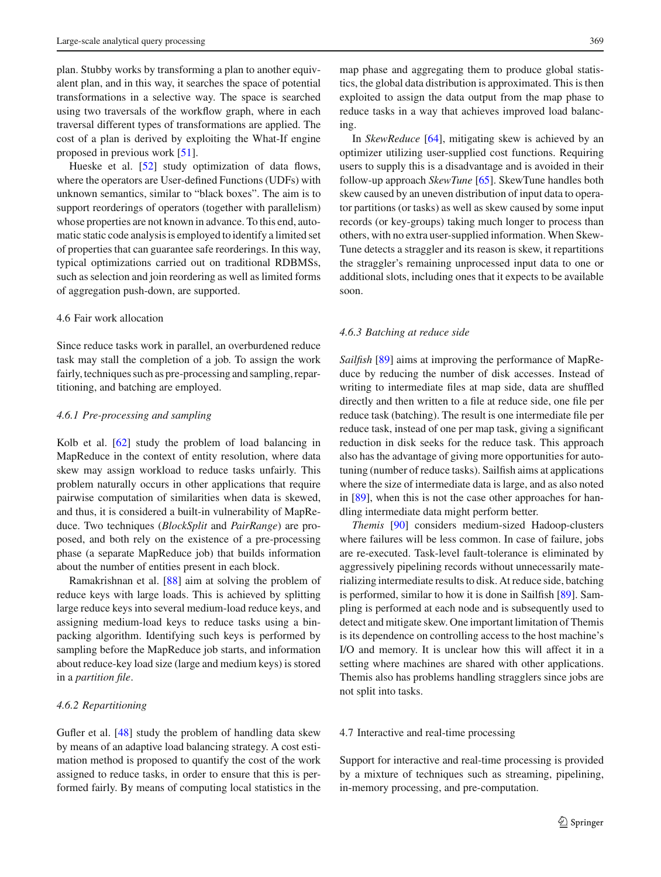plan. Stubby works by transforming a plan to another equivalent plan, and in this way, it searches the space of potential transformations in a selective way. The space is searched using two traversals of the workflow graph, where in each traversal different types of transformations are applied. The cost of a plan is derived by exploiting the What-If engine proposed in previous work [\[51\]](#page-24-20).

Hueske et al. [\[52](#page-24-25)] study optimization of data flows, where the operators are User-defined Functions (UDFs) with unknown semantics, similar to "black boxes". The aim is to support reorderings of operators (together with parallelism) whose properties are not known in advance. To this end, automatic static code analysis is employed to identify a limited set of properties that can guarantee safe reorderings. In this way, typical optimizations carried out on traditional RDBMSs, such as selection and join reordering as well as limited forms of aggregation push-down, are supported.

#### 4.6 Fair work allocation

Since reduce tasks work in parallel, an overburdened reduce task may stall the completion of a job. To assign the work fairly, techniques such as pre-processing and sampling, repartitioning, and batching are employed.

# *4.6.1 Pre-processing and sampling*

Kolb et al. [\[62\]](#page-24-26) study the problem of load balancing in MapReduce in the context of entity resolution, where data skew may assign workload to reduce tasks unfairly. This problem naturally occurs in other applications that require pairwise computation of similarities when data is skewed, and thus, it is considered a built-in vulnerability of MapReduce. Two techniques (*BlockSplit* and *PairRange*) are proposed, and both rely on the existence of a pre-processing phase (a separate MapReduce job) that builds information about the number of entities present in each block.

Ramakrishnan et al. [\[88](#page-25-21)] aim at solving the problem of reduce keys with large loads. This is achieved by splitting large reduce keys into several medium-load reduce keys, and assigning medium-load keys to reduce tasks using a binpacking algorithm. Identifying such keys is performed by sampling before the MapReduce job starts, and information about reduce-key load size (large and medium keys) is stored in a *partition file*.

## *4.6.2 Repartitioning*

Gufler et al. [\[48](#page-24-27)] study the problem of handling data skew by means of an adaptive load balancing strategy. A cost estimation method is proposed to quantify the cost of the work assigned to reduce tasks, in order to ensure that this is performed fairly. By means of computing local statistics in the map phase and aggregating them to produce global statistics, the global data distribution is approximated. This is then exploited to assign the data output from the map phase to reduce tasks in a way that achieves improved load balancing.

In *SkewReduce* [\[64\]](#page-24-28), mitigating skew is achieved by an optimizer utilizing user-supplied cost functions. Requiring users to supply this is a disadvantage and is avoided in their follow-up approach *SkewTune* [\[65\]](#page-24-29). SkewTune handles both skew caused by an uneven distribution of input data to operator partitions (or tasks) as well as skew caused by some input records (or key-groups) taking much longer to process than others, with no extra user-supplied information. When Skew-Tune detects a straggler and its reason is skew, it repartitions the straggler's remaining unprocessed input data to one or additional slots, including ones that it expects to be available soon.

#### *4.6.3 Batching at reduce side*

*Sailfish* [\[89](#page-25-22)] aims at improving the performance of MapReduce by reducing the number of disk accesses. Instead of writing to intermediate files at map side, data are shuffled directly and then written to a file at reduce side, one file per reduce task (batching). The result is one intermediate file per reduce task, instead of one per map task, giving a significant reduction in disk seeks for the reduce task. This approach also has the advantage of giving more opportunities for autotuning (number of reduce tasks). Sailfish aims at applications where the size of intermediate data is large, and as also noted in [\[89](#page-25-22)], when this is not the case other approaches for handling intermediate data might perform better.

*Themis* [\[90](#page-25-23)] considers medium-sized Hadoop-clusters where failures will be less common. In case of failure, jobs are re-executed. Task-level fault-tolerance is eliminated by aggressively pipelining records without unnecessarily materializing intermediate results to disk. At reduce side, batching is performed, similar to how it is done in Sailfish [\[89](#page-25-22)]. Sampling is performed at each node and is subsequently used to detect and mitigate skew. One important limitation of Themis is its dependence on controlling access to the host machine's I/O and memory. It is unclear how this will affect it in a setting where machines are shared with other applications. Themis also has problems handling stragglers since jobs are not split into tasks.

#### 4.7 Interactive and real-time processing

Support for interactive and real-time processing is provided by a mixture of techniques such as streaming, pipelining, in-memory processing, and pre-computation.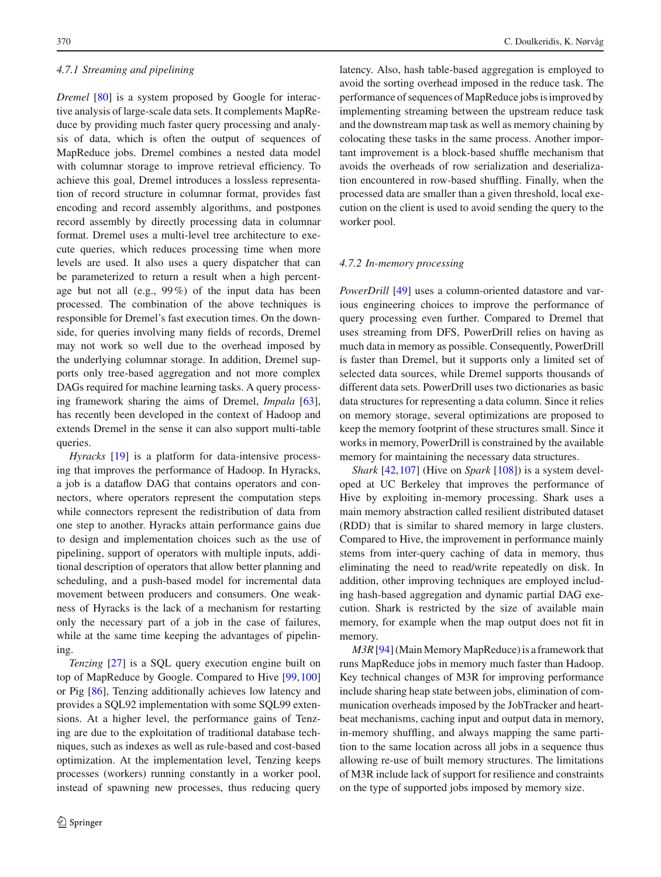#### *4.7.1 Streaming and pipelining*

*Dremel* [\[80\]](#page-25-24) is a system proposed by Google for interactive analysis of large-scale data sets. It complements MapReduce by providing much faster query processing and analysis of data, which is often the output of sequences of MapReduce jobs. Dremel combines a nested data model with columnar storage to improve retrieval efficiency. To achieve this goal, Dremel introduces a lossless representation of record structure in columnar format, provides fast encoding and record assembly algorithms, and postpones record assembly by directly processing data in columnar format. Dremel uses a multi-level tree architecture to execute queries, which reduces processing time when more levels are used. It also uses a query dispatcher that can be parameterized to return a result when a high percentage but not all (e.g., 99%) of the input data has been processed. The combination of the above techniques is responsible for Dremel's fast execution times. On the downside, for queries involving many fields of records, Dremel may not work so well due to the overhead imposed by the underlying columnar storage. In addition, Dremel supports only tree-based aggregation and not more complex DAGs required for machine learning tasks. A query processing framework sharing the aims of Dremel, *Impala* [\[63](#page-24-33)], has recently been developed in the context of Hadoop and extends Dremel in the sense it can also support multi-table queries.

*Hyracks* [\[19](#page-23-21)] is a platform for data-intensive processing that improves the performance of Hadoop. In Hyracks, a job is a dataflow DAG that contains operators and connectors, where operators represent the computation steps while connectors represent the redistribution of data from one step to another. Hyracks attain performance gains due to design and implementation choices such as the use of pipelining, support of operators with multiple inputs, additional description of operators that allow better planning and scheduling, and a push-based model for incremental data movement between producers and consumers. One weakness of Hyracks is the lack of a mechanism for restarting only the necessary part of a job in the case of failures, while at the same time keeping the advantages of pipelining.

*Tenzing* [\[27](#page-23-22)] is a SQL query execution engine built on top of MapReduce by Google. Compared to Hive [\[99,](#page-25-7)[100\]](#page-25-8) or Pig [\[86](#page-25-9)], Tenzing additionally achieves low latency and provides a SQL92 implementation with some SQL99 extensions. At a higher level, the performance gains of Tenzing are due to the exploitation of traditional database techniques, such as indexes as well as rule-based and cost-based optimization. At the implementation level, Tenzing keeps processes (workers) running constantly in a worker pool, instead of spawning new processes, thus reducing query

latency. Also, hash table-based aggregation is employed to avoid the sorting overhead imposed in the reduce task. The performance of sequences of MapReduce jobs is improved by implementing streaming between the upstream reduce task and the downstream map task as well as memory chaining by colocating these tasks in the same process. Another important improvement is a block-based shuffle mechanism that avoids the overheads of row serialization and deserialization encountered in row-based shuffling. Finally, when the processed data are smaller than a given threshold, local execution on the client is used to avoid sending the query to the worker pool.

## *4.7.2 In-memory processing*

*PowerDrill* [\[49](#page-24-30)] uses a column-oriented datastore and various engineering choices to improve the performance of query processing even further. Compared to Dremel that uses streaming from DFS, PowerDrill relies on having as much data in memory as possible. Consequently, PowerDrill is faster than Dremel, but it supports only a limited set of selected data sources, while Dremel supports thousands of different data sets. PowerDrill uses two dictionaries as basic data structures for representing a data column. Since it relies on memory storage, several optimizations are proposed to keep the memory footprint of these structures small. Since it works in memory, PowerDrill is constrained by the available memory for maintaining the necessary data structures.

*Shark* [\[42](#page-24-31)[,107](#page-25-25)] (Hive on *Spark* [\[108](#page-25-28)]) is a system developed at UC Berkeley that improves the performance of Hive by exploiting in-memory processing. Shark uses a main memory abstraction called resilient distributed dataset (RDD) that is similar to shared memory in large clusters. Compared to Hive, the improvement in performance mainly stems from inter-query caching of data in memory, thus eliminating the need to read/write repeatedly on disk. In addition, other improving techniques are employed including hash-based aggregation and dynamic partial DAG execution. Shark is restricted by the size of available main memory, for example when the map output does not fit in memory.

*M3R* [\[94\]](#page-25-26) (Main Memory MapReduce) is a framework that runs MapReduce jobs in memory much faster than Hadoop. Key technical changes of M3R for improving performance include sharing heap state between jobs, elimination of communication overheads imposed by the JobTracker and heartbeat mechanisms, caching input and output data in memory, in-memory shuffling, and always mapping the same partition to the same location across all jobs in a sequence thus allowing re-use of built memory structures. The limitations of M3R include lack of support for resilience and constraints on the type of supported jobs imposed by memory size.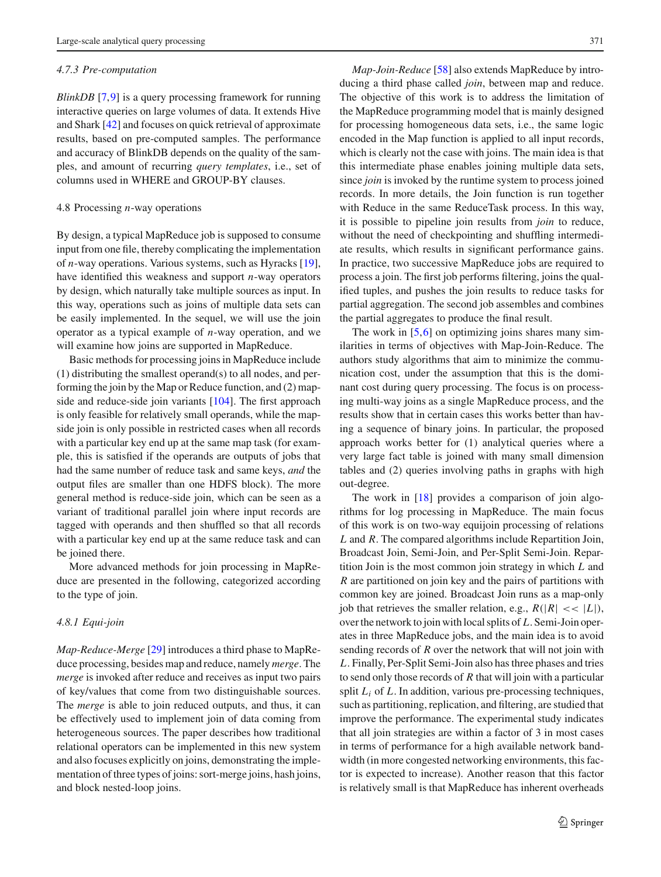#### *4.7.3 Pre-computation*

*BlinkDB* [\[7](#page-23-23),[9\]](#page-23-24) is a query processing framework for running interactive queries on large volumes of data. It extends Hive and Shark [\[42\]](#page-24-31) and focuses on quick retrieval of approximate results, based on pre-computed samples. The performance and accuracy of BlinkDB depends on the quality of the samples, and amount of recurring *query templates*, i.e., set of columns used in WHERE and GROUP-BY clauses.

# 4.8 Processing *n*-way operations

By design, a typical MapReduce job is supposed to consume input from one file, thereby complicating the implementation of *n*-way operations. Various systems, such as Hyracks [\[19](#page-23-21)], have identified this weakness and support *n*-way operators by design, which naturally take multiple sources as input. In this way, operations such as joins of multiple data sets can be easily implemented. In the sequel, we will use the join operator as a typical example of *n*-way operation, and we will examine how joins are supported in MapReduce.

Basic methods for processing joins in MapReduce include (1) distributing the smallest operand(s) to all nodes, and performing the join by the Map or Reduce function, and (2) map-side and reduce-side join variants [\[104](#page-25-6)]. The first approach is only feasible for relatively small operands, while the mapside join is only possible in restricted cases when all records with a particular key end up at the same map task (for example, this is satisfied if the operands are outputs of jobs that had the same number of reduce task and same keys, *and* the output files are smaller than one HDFS block). The more general method is reduce-side join, which can be seen as a variant of traditional parallel join where input records are tagged with operands and then shuffled so that all records with a particular key end up at the same reduce task and can be joined there.

More advanced methods for join processing in MapReduce are presented in the following, categorized according to the type of join.

## *4.8.1 Equi-join*

*Map-Reduce-Merge* [\[29](#page-23-30)] introduces a third phase to MapReduce processing, besides map and reduce, namely *merge*. The *merge* is invoked after reduce and receives as input two pairs of key/values that come from two distinguishable sources. The *merge* is able to join reduced outputs, and thus, it can be effectively used to implement join of data coming from heterogeneous sources. The paper describes how traditional relational operators can be implemented in this new system and also focuses explicitly on joins, demonstrating the implementation of three types of joins: sort-merge joins, hash joins, and block nested-loop joins.

*Map-Join-Reduce* [\[58\]](#page-24-34) also extends MapReduce by introducing a third phase called *join*, between map and reduce. The objective of this work is to address the limitation of the MapReduce programming model that is mainly designed for processing homogeneous data sets, i.e., the same logic encoded in the Map function is applied to all input records, which is clearly not the case with joins. The main idea is that this intermediate phase enables joining multiple data sets, since *join* is invoked by the runtime system to process joined records. In more details, the Join function is run together with Reduce in the same ReduceTask process. In this way, it is possible to pipeline join results from *join* to reduce, without the need of checkpointing and shuffling intermediate results, which results in significant performance gains. In practice, two successive MapReduce jobs are required to process a join. The first job performs filtering, joins the qualified tuples, and pushes the join results to reduce tasks for partial aggregation. The second job assembles and combines the partial aggregates to produce the final result.

The work in  $[5,6]$  $[5,6]$  $[5,6]$  on optimizing joins shares many similarities in terms of objectives with Map-Join-Reduce. The authors study algorithms that aim to minimize the communication cost, under the assumption that this is the dominant cost during query processing. The focus is on processing multi-way joins as a single MapReduce process, and the results show that in certain cases this works better than having a sequence of binary joins. In particular, the proposed approach works better for (1) analytical queries where a very large fact table is joined with many small dimension tables and (2) queries involving paths in graphs with high out-degree.

The work in [\[18\]](#page-23-33) provides a comparison of join algorithms for log processing in MapReduce. The main focus of this work is on two-way equijoin processing of relations *L* and *R*. The compared algorithms include Repartition Join, Broadcast Join, Semi-Join, and Per-Split Semi-Join. Repartition Join is the most common join strategy in which *L* and *R* are partitioned on join key and the pairs of partitions with common key are joined. Broadcast Join runs as a map-only job that retrieves the smaller relation, e.g.,  $R(|R| \ll |L|)$ , over the network to join with local splits of *L*. Semi-Join operates in three MapReduce jobs, and the main idea is to avoid sending records of *R* over the network that will not join with *L*. Finally, Per-Split Semi-Join also has three phases and tries to send only those records of *R* that will join with a particular split *Li* of *L*. In addition, various pre-processing techniques, such as partitioning, replication, and filtering, are studied that improve the performance. The experimental study indicates that all join strategies are within a factor of 3 in most cases in terms of performance for a high available network bandwidth (in more congested networking environments, this factor is expected to increase). Another reason that this factor is relatively small is that MapReduce has inherent overheads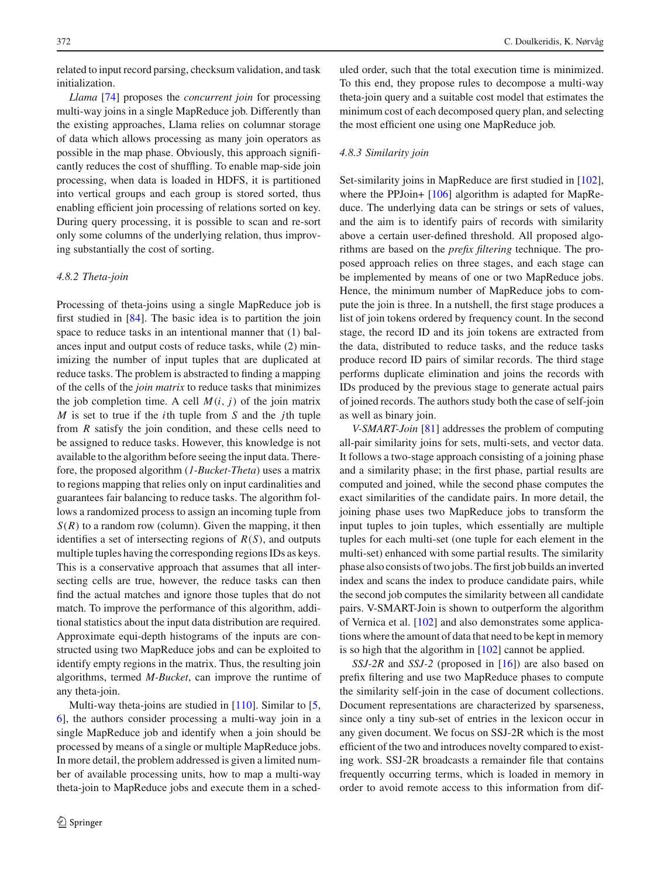related to input record parsing, checksum validation, and task initialization.

*Llama* [\[74\]](#page-24-7) proposes the *concurrent join* for processing multi-way joins in a single MapReduce job. Differently than the existing approaches, Llama relies on columnar storage of data which allows processing as many join operators as possible in the map phase. Obviously, this approach significantly reduces the cost of shuffling. To enable map-side join processing, when data is loaded in HDFS, it is partitioned into vertical groups and each group is stored sorted, thus enabling efficient join processing of relations sorted on key. During query processing, it is possible to scan and re-sort only some columns of the underlying relation, thus improving substantially the cost of sorting.

# *4.8.2 Theta-join*

Processing of theta-joins using a single MapReduce job is first studied in [\[84\]](#page-25-29). The basic idea is to partition the join space to reduce tasks in an intentional manner that (1) balances input and output costs of reduce tasks, while (2) minimizing the number of input tuples that are duplicated at reduce tasks. The problem is abstracted to finding a mapping of the cells of the *join matrix* to reduce tasks that minimizes the job completion time. A cell  $M(i, j)$  of the join matrix *M* is set to true if the *i*th tuple from *S* and the *j*th tuple from *R* satisfy the join condition, and these cells need to be assigned to reduce tasks. However, this knowledge is not available to the algorithm before seeing the input data. Therefore, the proposed algorithm (*1-Bucket-Theta*) uses a matrix to regions mapping that relies only on input cardinalities and guarantees fair balancing to reduce tasks. The algorithm follows a randomized process to assign an incoming tuple from  $S(R)$  to a random row (column). Given the mapping, it then identifies a set of intersecting regions of  $R(S)$ , and outputs multiple tuples having the corresponding regions IDs as keys. This is a conservative approach that assumes that all intersecting cells are true, however, the reduce tasks can then find the actual matches and ignore those tuples that do not match. To improve the performance of this algorithm, additional statistics about the input data distribution are required. Approximate equi-depth histograms of the inputs are constructed using two MapReduce jobs and can be exploited to identify empty regions in the matrix. Thus, the resulting join algorithms, termed *M-Bucket*, can improve the runtime of any theta-join.

Multi-way theta-joins are studied in [\[110](#page-25-27)]. Similar to [\[5,](#page-23-31) [6](#page-23-32)], the authors consider processing a multi-way join in a single MapReduce job and identify when a join should be processed by means of a single or multiple MapReduce jobs. In more detail, the problem addressed is given a limited number of available processing units, how to map a multi-way theta-join to MapReduce jobs and execute them in a scheduled order, such that the total execution time is minimized. To this end, they propose rules to decompose a multi-way theta-join query and a suitable cost model that estimates the minimum cost of each decomposed query plan, and selecting the most efficient one using one MapReduce job.

# *4.8.3 Similarity join*

Set-similarity joins in MapReduce are first studied in [\[102](#page-25-30)], where the PPJoin+  $[106]$  $[106]$  algorithm is adapted for MapReduce. The underlying data can be strings or sets of values, and the aim is to identify pairs of records with similarity above a certain user-defined threshold. All proposed algorithms are based on the *prefix filtering* technique. The proposed approach relies on three stages, and each stage can be implemented by means of one or two MapReduce jobs. Hence, the minimum number of MapReduce jobs to compute the join is three. In a nutshell, the first stage produces a list of join tokens ordered by frequency count. In the second stage, the record ID and its join tokens are extracted from the data, distributed to reduce tasks, and the reduce tasks produce record ID pairs of similar records. The third stage performs duplicate elimination and joins the records with IDs produced by the previous stage to generate actual pairs of joined records. The authors study both the case of self-join as well as binary join.

*V-SMART-Join* [\[81\]](#page-25-32) addresses the problem of computing all-pair similarity joins for sets, multi-sets, and vector data. It follows a two-stage approach consisting of a joining phase and a similarity phase; in the first phase, partial results are computed and joined, while the second phase computes the exact similarities of the candidate pairs. In more detail, the joining phase uses two MapReduce jobs to transform the input tuples to join tuples, which essentially are multiple tuples for each multi-set (one tuple for each element in the multi-set) enhanced with some partial results. The similarity phase also consists of two jobs. The first job builds an inverted index and scans the index to produce candidate pairs, while the second job computes the similarity between all candidate pairs. V-SMART-Join is shown to outperform the algorithm of Vernica et al. [\[102](#page-25-30)] and also demonstrates some applications where the amount of data that need to be kept in memory is so high that the algorithm in [\[102\]](#page-25-30) cannot be applied.

*SSJ-2R* and *SSJ-2* (proposed in [\[16](#page-23-34)]) are also based on prefix filtering and use two MapReduce phases to compute the similarity self-join in the case of document collections. Document representations are characterized by sparseness, since only a tiny sub-set of entries in the lexicon occur in any given document. We focus on SSJ-2R which is the most efficient of the two and introduces novelty compared to existing work. SSJ-2R broadcasts a remainder file that contains frequently occurring terms, which is loaded in memory in order to avoid remote access to this information from dif-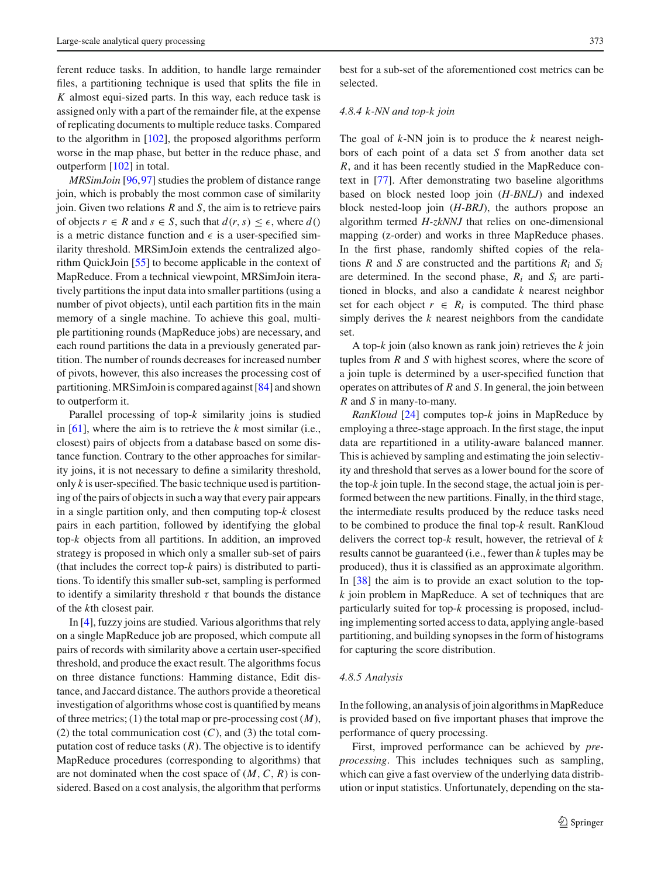ferent reduce tasks. In addition, to handle large remainder files, a partitioning technique is used that splits the file in *K* almost equi-sized parts. In this way, each reduce task is assigned only with a part of the remainder file, at the expense of replicating documents to multiple reduce tasks. Compared to the algorithm in [\[102\]](#page-25-30), the proposed algorithms perform worse in the map phase, but better in the reduce phase, and outperform [\[102\]](#page-25-30) in total.

*MRSimJoin* [\[96](#page-25-33)[,97](#page-25-34)] studies the problem of distance range join, which is probably the most common case of similarity join. Given two relations *R* and *S*, the aim is to retrieve pairs of objects *r* ∈ *R* and *s* ∈ *S*, such that  $d(r, s) \leq \epsilon$ , where  $d()$ is a metric distance function and  $\epsilon$  is a user-specified similarity threshold. MRSimJoin extends the centralized algorithm QuickJoin [\[55\]](#page-24-35) to become applicable in the context of MapReduce. From a technical viewpoint, MRSimJoin iteratively partitions the input data into smaller partitions (using a number of pivot objects), until each partition fits in the main memory of a single machine. To achieve this goal, multiple partitioning rounds (MapReduce jobs) are necessary, and each round partitions the data in a previously generated partition. The number of rounds decreases for increased number of pivots, however, this also increases the processing cost of partitioning.MRSimJoin is compared against [\[84\]](#page-25-29) and shown to outperform it.

Parallel processing of top-*k* similarity joins is studied in [\[61\]](#page-24-36), where the aim is to retrieve the *k* most similar (i.e., closest) pairs of objects from a database based on some distance function. Contrary to the other approaches for similarity joins, it is not necessary to define a similarity threshold, only *k* is user-specified. The basic technique used is partitioning of the pairs of objects in such a way that every pair appears in a single partition only, and then computing top-*k* closest pairs in each partition, followed by identifying the global top-*k* objects from all partitions. In addition, an improved strategy is proposed in which only a smaller sub-set of pairs (that includes the correct top-*k* pairs) is distributed to partitions. To identify this smaller sub-set, sampling is performed to identify a similarity threshold  $\tau$  that bounds the distance of the *k*th closest pair.

In [\[4\]](#page-23-35), fuzzy joins are studied. Various algorithms that rely on a single MapReduce job are proposed, which compute all pairs of records with similarity above a certain user-specified threshold, and produce the exact result. The algorithms focus on three distance functions: Hamming distance, Edit distance, and Jaccard distance. The authors provide a theoretical investigation of algorithms whose cost is quantified by means of three metrics; (1) the total map or pre-processing cost (*M*), (2) the total communication cost  $(C)$ , and  $(3)$  the total computation cost of reduce tasks  $(R)$ . The objective is to identify MapReduce procedures (corresponding to algorithms) that are not dominated when the cost space of (*M*,*C*, *R*) is considered. Based on a cost analysis, the algorithm that performs

best for a sub-set of the aforementioned cost metrics can be selected.

# *4.8.4 k-NN and top-k join*

The goal of *k*-NN join is to produce the *k* nearest neighbors of each point of a data set *S* from another data set *R*, and it has been recently studied in the MapReduce context in [\[77](#page-25-35)]. After demonstrating two baseline algorithms based on block nested loop join (*H-BNLJ*) and indexed block nested-loop join (*H-BRJ*), the authors propose an algorithm termed *H-zkNNJ* that relies on one-dimensional mapping (z-order) and works in three MapReduce phases. In the first phase, randomly shifted copies of the relations *R* and *S* are constructed and the partitions  $R_i$  and  $S_i$ are determined. In the second phase,  $R_i$  and  $S_i$  are partitioned in blocks, and also a candidate *k* nearest neighbor set for each object  $r \in R_i$  is computed. The third phase simply derives the *k* nearest neighbors from the candidate set.

A top-*k* join (also known as rank join) retrieves the *k* join tuples from *R* and *S* with highest scores, where the score of a join tuple is determined by a user-specified function that operates on attributes of *R* and *S*. In general, the join between *R* and *S* in many-to-many.

*RanKloud* [\[24\]](#page-23-15) computes top-*k* joins in MapReduce by employing a three-stage approach. In the first stage, the input data are repartitioned in a utility-aware balanced manner. This is achieved by sampling and estimating the join selectivity and threshold that serves as a lower bound for the score of the top-*k* join tuple. In the second stage, the actual join is performed between the new partitions. Finally, in the third stage, the intermediate results produced by the reduce tasks need to be combined to produce the final top-*k* result. RanKloud delivers the correct top-*k* result, however, the retrieval of *k* results cannot be guaranteed (i.e., fewer than *k* tuples may be produced), thus it is classified as an approximate algorithm. In [\[38](#page-24-16)] the aim is to provide an exact solution to the top*k* join problem in MapReduce. A set of techniques that are particularly suited for top-*k* processing is proposed, including implementing sorted access to data, applying angle-based partitioning, and building synopses in the form of histograms for capturing the score distribution.

#### *4.8.5 Analysis*

In the following, an analysis of join algorithms inMapReduce is provided based on five important phases that improve the performance of query processing.

First, improved performance can be achieved by *preprocessing*. This includes techniques such as sampling, which can give a fast overview of the underlying data distribution or input statistics. Unfortunately, depending on the sta-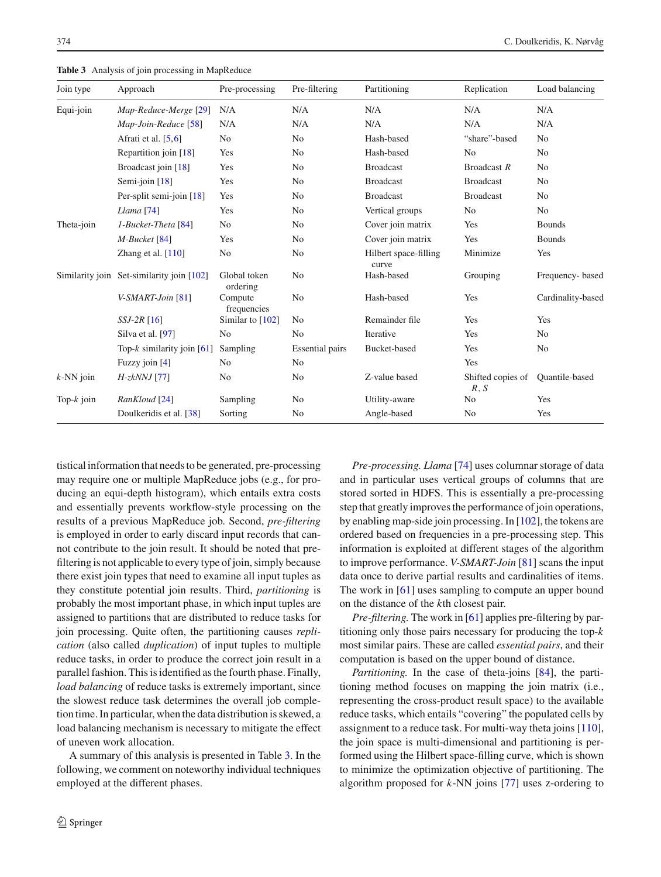**Table 3** Analysis of join processing in MapReduce

<span id="page-19-0"></span>

| Join type     | Approach                                  | Pre-processing           | Pre-filtering          | Partitioning                   | Replication               | Load balancing    |
|---------------|-------------------------------------------|--------------------------|------------------------|--------------------------------|---------------------------|-------------------|
| Equi-join     | Map-Reduce-Merge [29]                     | N/A                      | N/A                    | N/A                            | N/A                       | N/A               |
|               | Map-Join-Reduce [58]                      | N/A                      | N/A                    | N/A                            | N/A                       | N/A               |
|               | Afrati et al. [5,6]                       | N <sub>0</sub>           | N <sub>0</sub>         | Hash-based                     | "share"-based             | N <sub>0</sub>    |
|               | Repartition join $[18]$                   | Yes                      | N <sub>0</sub>         | Hash-based                     | N <sub>0</sub>            | N <sub>0</sub>    |
|               | Broadcast join $[18]$                     | Yes                      | N <sub>0</sub>         | <b>Broadcast</b>               | Broadcast $R$             | N <sub>0</sub>    |
|               | Semi-join [18]                            | Yes                      | No                     | <b>Broadcast</b>               | <b>Broadcast</b>          | No                |
|               | Per-split semi-join [18]                  | Yes                      | N <sub>0</sub>         | <b>Broadcast</b>               | <b>Broadcast</b>          | N <sub>0</sub>    |
|               | Llama $[74]$                              | Yes                      | N <sub>0</sub>         | Vertical groups                | N <sub>o</sub>            | N <sub>0</sub>    |
| Theta-join    | $1-Bucker-Theta [84]$                     | N <sub>0</sub>           | N <sub>0</sub>         | Cover join matrix              | Yes                       | <b>Bounds</b>     |
|               | $M$ -Bucket [84]                          | Yes                      | N <sub>0</sub>         | Cover join matrix              | Yes                       | <b>Bounds</b>     |
|               | Zhang et al. $[110]$                      | No                       | N <sub>0</sub>         | Hilbert space-filling<br>curve | Minimize                  | Yes               |
|               | Similarity join Set-similarity join [102] | Global token<br>ordering | N <sub>0</sub>         | Hash-based                     | Grouping                  | Frequency-based   |
|               | V-SMART-Join [81]                         | Compute<br>frequencies   | N <sub>0</sub>         | Hash-based                     | Yes                       | Cardinality-based |
|               | $SSJ-2R [16]$                             | Similar to [102]         | N <sub>0</sub>         | Remainder file                 | Yes                       | Yes               |
|               | Silva et al. [97]                         | N <sub>0</sub>           | N <sub>0</sub>         | Iterative                      | Yes                       | N <sub>0</sub>    |
|               | Top-k similarity join $[61]$              | Sampling                 | <b>Essential pairs</b> | Bucket-based                   | Yes                       | No                |
|               | Fuzzy join [4]                            | N <sub>0</sub>           | No                     |                                | Yes                       |                   |
| $k$ -NN join  | $H$ -zkNNJ [77]                           | No                       | N <sub>0</sub>         | Z-value based                  | Shifted copies of<br>R, S | Quantile-based    |
| Top- $k$ join | RanKloud [24]                             | Sampling                 | No                     | Utility-aware                  | No                        | Yes               |
|               | Doulkeridis et al. [38]                   | Sorting                  | No                     | Angle-based                    | No                        | Yes               |

tistical information that needs to be generated, pre-processing may require one or multiple MapReduce jobs (e.g., for producing an equi-depth histogram), which entails extra costs and essentially prevents workflow-style processing on the results of a previous MapReduce job. Second, *pre-filtering* is employed in order to early discard input records that cannot contribute to the join result. It should be noted that prefiltering is not applicable to every type of join, simply because there exist join types that need to examine all input tuples as they constitute potential join results. Third, *partitioning* is probably the most important phase, in which input tuples are assigned to partitions that are distributed to reduce tasks for join processing. Quite often, the partitioning causes *replication* (also called *duplication*) of input tuples to multiple reduce tasks, in order to produce the correct join result in a parallel fashion. This is identified as the fourth phase. Finally, *load balancing* of reduce tasks is extremely important, since the slowest reduce task determines the overall job completion time. In particular, when the data distribution is skewed, a load balancing mechanism is necessary to mitigate the effect of uneven work allocation.

A summary of this analysis is presented in Table [3.](#page-19-0) In the following, we comment on noteworthy individual techniques employed at the different phases.

*Pre-processing. Llama* [\[74\]](#page-24-7) uses columnar storage of data and in particular uses vertical groups of columns that are stored sorted in HDFS. This is essentially a pre-processing step that greatly improves the performance of join operations, by enabling map-side join processing. In [\[102](#page-25-30)], the tokens are ordered based on frequencies in a pre-processing step. This information is exploited at different stages of the algorithm to improve performance. *V-SMART-Join* [\[81\]](#page-25-32) scans the input data once to derive partial results and cardinalities of items. The work in [\[61\]](#page-24-36) uses sampling to compute an upper bound on the distance of the *k*th closest pair.

*Pre-filtering.* The work in [\[61](#page-24-36)] applies pre-filtering by partitioning only those pairs necessary for producing the top-*k* most similar pairs. These are called *essential pairs*, and their computation is based on the upper bound of distance.

*Partitioning.* In the case of theta-joins [\[84\]](#page-25-29), the partitioning method focuses on mapping the join matrix (i.e., representing the cross-product result space) to the available reduce tasks, which entails "covering" the populated cells by assignment to a reduce task. For multi-way theta joins [\[110](#page-25-27)], the join space is multi-dimensional and partitioning is performed using the Hilbert space-filling curve, which is shown to minimize the optimization objective of partitioning. The algorithm proposed for *k*-NN joins [\[77\]](#page-25-35) uses z-ordering to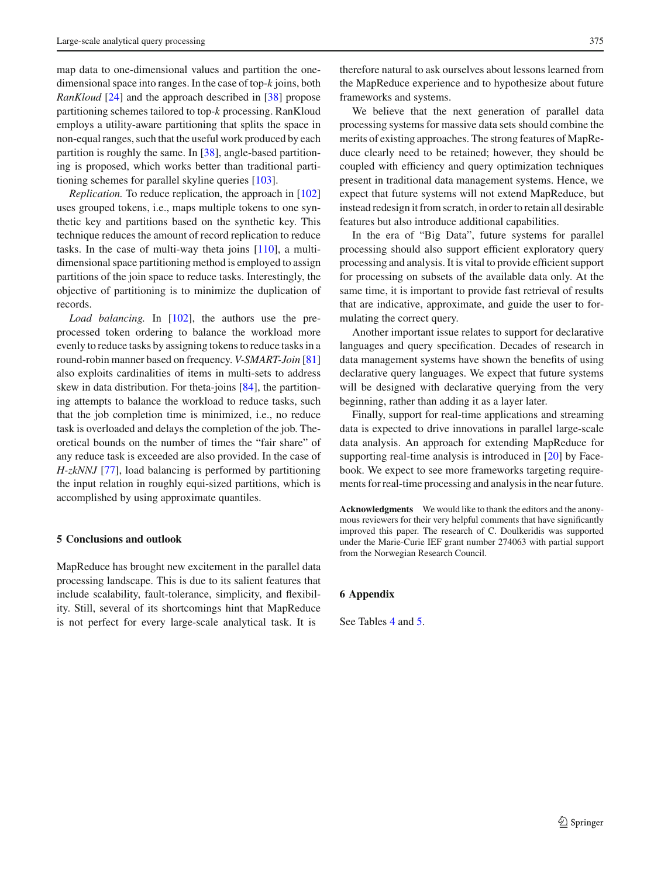map data to one-dimensional values and partition the onedimensional space into ranges. In the case of top-*k* joins, both *RanKloud* [\[24\]](#page-23-15) and the approach described in [\[38](#page-24-16)] propose partitioning schemes tailored to top-*k* processing. RanKloud employs a utility-aware partitioning that splits the space in non-equal ranges, such that the useful work produced by each partition is roughly the same. In [\[38\]](#page-24-16), angle-based partitioning is proposed, which works better than traditional partitioning schemes for parallel skyline queries [\[103](#page-25-36)].

*Replication.* To reduce replication, the approach in [\[102\]](#page-25-30) uses grouped tokens, i.e., maps multiple tokens to one synthetic key and partitions based on the synthetic key. This technique reduces the amount of record replication to reduce tasks. In the case of multi-way theta joins [\[110](#page-25-27)], a multidimensional space partitioning method is employed to assign partitions of the join space to reduce tasks. Interestingly, the objective of partitioning is to minimize the duplication of records.

*Load balancing.* In [\[102\]](#page-25-30), the authors use the preprocessed token ordering to balance the workload more evenly to reduce tasks by assigning tokens to reduce tasks in a round-robin manner based on frequency. *V-SMART-Join* [\[81\]](#page-25-32) also exploits cardinalities of items in multi-sets to address skew in data distribution. For theta-joins [\[84\]](#page-25-29), the partitioning attempts to balance the workload to reduce tasks, such that the job completion time is minimized, i.e., no reduce task is overloaded and delays the completion of the job. Theoretical bounds on the number of times the "fair share" of any reduce task is exceeded are also provided. In the case of *H-zkNNJ* [\[77\]](#page-25-35), load balancing is performed by partitioning the input relation in roughly equi-sized partitions, which is accomplished by using approximate quantiles.

### <span id="page-20-0"></span>**5 Conclusions and outlook**

MapReduce has brought new excitement in the parallel data processing landscape. This is due to its salient features that include scalability, fault-tolerance, simplicity, and flexibility. Still, several of its shortcomings hint that MapReduce is not perfect for every large-scale analytical task. It is

therefore natural to ask ourselves about lessons learned from the MapReduce experience and to hypothesize about future frameworks and systems.

We believe that the next generation of parallel data processing systems for massive data sets should combine the merits of existing approaches. The strong features of MapReduce clearly need to be retained; however, they should be coupled with efficiency and query optimization techniques present in traditional data management systems. Hence, we expect that future systems will not extend MapReduce, but instead redesign it from scratch, in order to retain all desirable features but also introduce additional capabilities.

In the era of "Big Data", future systems for parallel processing should also support efficient exploratory query processing and analysis. It is vital to provide efficient support for processing on subsets of the available data only. At the same time, it is important to provide fast retrieval of results that are indicative, approximate, and guide the user to formulating the correct query.

Another important issue relates to support for declarative languages and query specification. Decades of research in data management systems have shown the benefits of using declarative query languages. We expect that future systems will be designed with declarative querying from the very beginning, rather than adding it as a layer later.

Finally, support for real-time applications and streaming data is expected to drive innovations in parallel large-scale data analysis. An approach for extending MapReduce for supporting real-time analysis is introduced in [\[20\]](#page-23-36) by Facebook. We expect to see more frameworks targeting requirements for real-time processing and analysis in the near future.

**Acknowledgments** We would like to thank the editors and the anonymous reviewers for their very helpful comments that have significantly improved this paper. The research of C. Doulkeridis was supported under the Marie-Curie IEF grant number 274063 with partial support from the Norwegian Research Council.

# **6 Appendix**

See Tables [4](#page-21-0) and [5.](#page-22-0)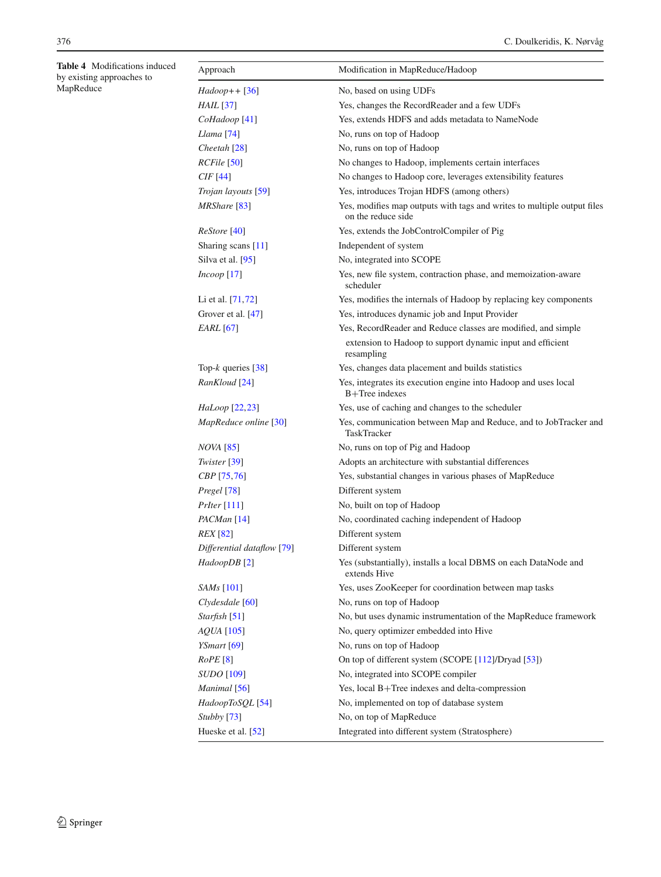<span id="page-21-0"></span>**Table 4** Modifications induced by existing approaches to MapReduce

| Approach                   | Modification in MapReduce/Hadoop                                                              |
|----------------------------|-----------------------------------------------------------------------------------------------|
| $Hadoop++[36]$             | No, based on using UDFs                                                                       |
| <i>HAIL</i> [37]           | Yes, changes the RecordReader and a few UDFs                                                  |
| CoHadoop <sup>[41]</sup>   | Yes, extends HDFS and adds metadata to NameNode                                               |
| Llama $[74]$               | No, runs on top of Hadoop                                                                     |
| Cheetah $[28]$             | No, runs on top of Hadoop                                                                     |
| $RCFile$ [50]              | No changes to Hadoop, implements certain interfaces                                           |
| $CIF$ [44]                 | No changes to Hadoop core, leverages extensibility features                                   |
| Trojan layouts [59]        | Yes, introduces Trojan HDFS (among others)                                                    |
| MRShare [83]               | Yes, modifies map outputs with tags and writes to multiple output files<br>on the reduce side |
| ReStore [40]               | Yes, extends the JobControlCompiler of Pig                                                    |
| Sharing scans [11]         | Independent of system                                                                         |
| Silva et al. $[95]$        | No, integrated into SCOPE                                                                     |
| Incoop [17]                | Yes, new file system, contraction phase, and memoization-aware<br>scheduler                   |
| Li et al. [71,72]          | Yes, modifies the internals of Hadoop by replacing key components                             |
| Grover et al. [47]         | Yes, introduces dynamic job and Input Provider                                                |
| <b>EARL</b> [67]           | Yes, RecordReader and Reduce classes are modified, and simple                                 |
|                            | extension to Hadoop to support dynamic input and efficient<br>resampling                      |
| Top- $k$ queries [38]      | Yes, changes data placement and builds statistics                                             |
| RanKloud <sup>[24]</sup>   | Yes, integrates its execution engine into Hadoop and uses local<br>$B+Tree$ indexes           |
| HaLoop [22,23]             | Yes, use of caching and changes to the scheduler                                              |
| MapReduce online [30]      | Yes, communication between Map and Reduce, and to JobTracker and<br>TaskTracker               |
| <i>NOVA</i> [85]           | No, runs on top of Pig and Hadoop                                                             |
| Twister $[39]$             | Adopts an architecture with substantial differences                                           |
| $CBP$ [75,76]              | Yes, substantial changes in various phases of MapReduce                                       |
| Pregel [78]                | Different system                                                                              |
| PrIter[111]                | No, built on top of Hadoop                                                                    |
| PACMan [14]                | No, coordinated caching independent of Hadoop                                                 |
| $REX$ [82]                 | Different system                                                                              |
| Differential dataflow [79] | Different system                                                                              |
| HadoopDB <sup>[2]</sup>    | Yes (substantially), installs a local DBMS on each DataNode and<br>extends Hive               |
| SAMS [101]                 | Yes, uses ZooKeeper for coordination between map tasks                                        |
| Clydesdale [60]            | No, runs on top of Hadoop                                                                     |
| Starfish $[51]$            | No, but uses dynamic instrumentation of the MapReduce framework                               |
| <i>AQUA</i> [105]          | No, query optimizer embedded into Hive                                                        |
| $Y$ <i>YSmart</i> [69]     | No, runs on top of Hadoop                                                                     |
| RoPE[8]                    | On top of different system (SCOPE [112]/Dryad [53])                                           |
| <i>SUDO</i> [109]          | No, integrated into SCOPE compiler                                                            |
| Manimal [56]               | Yes, local B+Tree indexes and delta-compression                                               |
| HadoopToSQL [54]           | No, implemented on top of database system                                                     |
| Stubby [73]                | No, on top of MapReduce                                                                       |
| Hueske et al. [52]         | Integrated into different system (Stratosphere)                                               |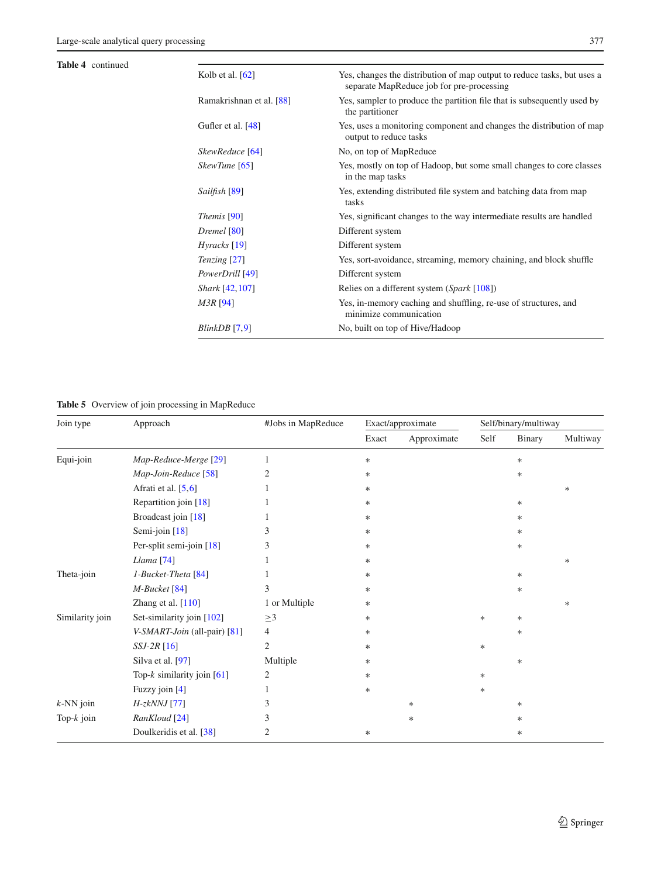| <b>Table 4</b> continued |                          |                                                                                                                      |
|--------------------------|--------------------------|----------------------------------------------------------------------------------------------------------------------|
|                          | Kolb et al. $[62]$       | Yes, changes the distribution of map output to reduce tasks, but uses a<br>separate MapReduce job for pre-processing |
|                          | Ramakrishnan et al. [88] | Yes, sampler to produce the partition file that is subsequently used by<br>the partitioner                           |
|                          | Gufler et al. $[48]$     | Yes, uses a monitoring component and changes the distribution of map<br>output to reduce tasks                       |
|                          | SkewReduce [64]          | No, on top of MapReduce                                                                                              |
|                          | SkewTune [65]            | Yes, mostly on top of Hadoop, but some small changes to core classes<br>in the map tasks                             |
|                          | Sailfish <sup>[89]</sup> | Yes, extending distributed file system and batching data from map<br>tasks                                           |
|                          | Themis <sup>[90]</sup>   | Yes, significant changes to the way intermediate results are handled                                                 |
|                          | Dremel [80]              | Different system                                                                                                     |
|                          | Hyracks <sup>[19]</sup>  | Different system                                                                                                     |
|                          | <i>Tenzing</i> $[27]$    | Yes, sort-avoidance, streaming, memory chaining, and block shuffle                                                   |
|                          | PowerDrill [49]          | Different system                                                                                                     |
|                          | <i>Shark</i> [42, 107]   | Relies on a different system (Spark [108])                                                                           |
|                          | $M3R$ [94]               | Yes, in-memory caching and shuffling, re-use of structures, and<br>minimize communication                            |
|                          | Blink $DB$ [7,9]         | No, built on top of Hive/Hadoop                                                                                      |

# **Table 5** Overview of join processing in MapReduce

<span id="page-22-0"></span>

| Join type       | Approach                         | #Jobs in MapReduce | Exact/approximate |             | Self/binary/multiway |        |          |
|-----------------|----------------------------------|--------------------|-------------------|-------------|----------------------|--------|----------|
|                 |                                  |                    | Exact             | Approximate | Self                 | Binary | Multiway |
| Equi-join       | Map-Reduce-Merge <sup>[29]</sup> |                    | $\ast$            |             |                      | $\ast$ |          |
|                 | Map-Join-Reduce [58]             | 2                  | $\ast$            |             |                      | $\ast$ |          |
|                 | Afrati et al. [5,6]              |                    | $\ast$            |             |                      |        | $\ast$   |
|                 | Repartition join [18]            |                    | $\ast$            |             |                      | $\ast$ |          |
|                 | Broadcast join [18]              |                    | $\ast$            |             |                      | $\ast$ |          |
|                 | Semi-join [18]                   | 3                  | $\ast$            |             |                      | $\ast$ |          |
|                 | Per-split semi-join [18]         | 3                  | $\ast$            |             |                      | $\ast$ |          |
|                 | $Llama$ [74]                     |                    | $\ast$            |             |                      |        | $\ast$   |
| Theta-join      | $1-Bucker-Theta [84]$            |                    | $\ast$            |             |                      | $\ast$ |          |
|                 | M-Bucket [84]                    | 3                  | $\ast$            |             |                      | $\ast$ |          |
|                 | Zhang et al. [110]               | 1 or Multiple      | $\ast$            |             |                      |        | $\ast$   |
| Similarity join | Set-similarity join [102]        | $\geq$ 3           | $\ast$            |             | $\ast$               | $\ast$ |          |
|                 | V-SMART-Join (all-pair) [81]     | 4                  | $\ast$            |             |                      | $\ast$ |          |
|                 | $SSJ-2R[16]$                     | 2                  | $\ast$            |             | $\ast$               |        |          |
|                 | Silva et al. [97]                | Multiple           | $\ast$            |             |                      | $\ast$ |          |
|                 | Top- $k$ similarity join [61]    | 2                  | $\ast$            |             | $\ast$               |        |          |
|                 | Fuzzy join [4]                   |                    | $\ast$            |             | $\ast$               |        |          |
| $k$ -NN join    | $H$ -zkNNJ $[77]$                | 3                  |                   | $\ast$      |                      | $\ast$ |          |
| Top- $k$ join   | RanKloud <sup>[24]</sup>         | 3                  |                   | $\ast$      |                      | $\ast$ |          |
|                 | Doulkeridis et al. [38]          | 2                  | $\ast$            |             |                      | $\ast$ |          |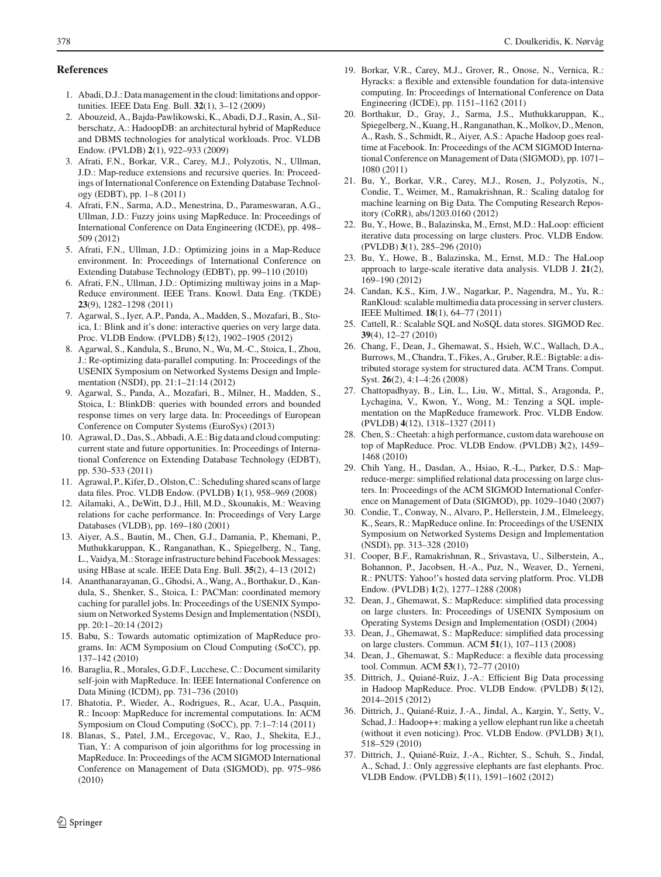# <span id="page-23-8"></span>**References**

- 1. Abadi, D.J.: Data management in the cloud: limitations and opportunities. IEEE Data Eng. Bull. **32**(1), 3–12 (2009)
- <span id="page-23-28"></span>2. Abouzeid, A., Bajda-Pawlikowski, K., Abadi, D.J., Rasin, A., Silberschatz, A.: HadoopDB: an architectural hybrid of MapReduce and DBMS technologies for analytical workloads. Proc. VLDB Endow. (PVLDB) **2**(1), 922–933 (2009)
- <span id="page-23-26"></span>3. Afrati, F.N., Borkar, V.R., Carey, M.J., Polyzotis, N., Ullman, J.D.: Map-reduce extensions and recursive queries. In: Proceedings of International Conference on Extending Database Technology (EDBT), pp. 1–8 (2011)
- <span id="page-23-35"></span>4. Afrati, F.N., Sarma, A.D., Menestrina, D., Parameswaran, A.G., Ullman, J.D.: Fuzzy joins using MapReduce. In: Proceedings of International Conference on Data Engineering (ICDE), pp. 498– 509 (2012)
- <span id="page-23-31"></span>5. Afrati, F.N., Ullman, J.D.: Optimizing joins in a Map-Reduce environment. In: Proceedings of International Conference on Extending Database Technology (EDBT), pp. 99–110 (2010)
- <span id="page-23-32"></span>6. Afrati, F.N., Ullman, J.D.: Optimizing multiway joins in a Map-Reduce environment. IEEE Trans. Knowl. Data Eng. (TKDE) **23**(9), 1282–1298 (2011)
- <span id="page-23-23"></span>7. Agarwal, S., Iyer, A.P., Panda, A., Madden, S., Mozafari, B., Stoica, I.: Blink and it's done: interactive queries on very large data. Proc. VLDB Endow. (PVLDB) **5**(12), 1902–1905 (2012)
- <span id="page-23-20"></span>8. Agarwal, S., Kandula, S., Bruno, N., Wu, M.-C., Stoica, I., Zhou, J.: Re-optimizing data-parallel computing. In: Proceedings of the USENIX Symposium on Networked Systems Design and Implementation (NSDI), pp. 21:1–21:14 (2012)
- <span id="page-23-24"></span>9. Agarwal, S., Panda, A., Mozafari, B., Milner, H., Madden, S., Stoica, I.: BlinkDB: queries with bounded errors and bounded response times on very large data. In: Proceedings of European Conference on Computer Systems (EuroSys) (2013)
- <span id="page-23-7"></span>10. Agrawal, D., Das, S., Abbadi, A.E.: Big data and cloud computing: current state and future opportunities. In: Proceedings of International Conference on Extending Database Technology (EDBT), pp. 530–533 (2011)
- <span id="page-23-13"></span>11. Agrawal, P., Kifer, D., Olston, C.: Scheduling shared scans of large data files. Proc. VLDB Endow. (PVLDB) **1**(1), 958–969 (2008)
- <span id="page-23-25"></span>12. Ailamaki, A., DeWitt, D.J., Hill, M.D., Skounakis, M.: Weaving relations for cache performance. In: Proceedings of Very Large Databases (VLDB), pp. 169–180 (2001)
- <span id="page-23-3"></span>13. Aiyer, A.S., Bautin, M., Chen, G.J., Damania, P., Khemani, P., Muthukkaruppan, K., Ranganathan, K., Spiegelberg, N., Tang, L., Vaidya, M.: Storage infrastructure behind Facebook Messages: using HBase at scale. IEEE Data Eng. Bull. **35**(2), 4–13 (2012)
- <span id="page-23-19"></span>14. Ananthanarayanan, G., Ghodsi, A.,Wang, A., Borthakur, D., Kandula, S., Shenker, S., Stoica, I.: PACMan: coordinated memory caching for parallel jobs. In: Proceedings of the USENIX Symposium on Networked Systems Design and Implementation (NSDI), pp. 20:1–20:14 (2012)
- <span id="page-23-29"></span>15. Babu, S.: Towards automatic optimization of MapReduce programs. In: ACM Symposium on Cloud Computing (SoCC), pp. 137–142 (2010)
- <span id="page-23-34"></span>16. Baraglia, R., Morales, G.D.F., Lucchese, C.: Document similarity self-join with MapReduce. In: IEEE International Conference on Data Mining (ICDM), pp. 731–736 (2010)
- <span id="page-23-14"></span>17. Bhatotia, P., Wieder, A., Rodrigues, R., Acar, U.A., Pasquin, R.: Incoop: MapReduce for incremental computations. In: ACM Symposium on Cloud Computing (SoCC), pp. 7:1–7:14 (2011)
- <span id="page-23-33"></span>18. Blanas, S., Patel, J.M., Ercegovac, V., Rao, J., Shekita, E.J., Tian, Y.: A comparison of join algorithms for log processing in MapReduce. In: Proceedings of the ACM SIGMOD International Conference on Management of Data (SIGMOD), pp. 975–986 (2010)
- <span id="page-23-21"></span>19. Borkar, V.R., Carey, M.J., Grover, R., Onose, N., Vernica, R.: Hyracks: a flexible and extensible foundation for data-intensive computing. In: Proceedings of International Conference on Data Engineering (ICDE), pp. 1151–1162 (2011)
- <span id="page-23-36"></span>20. Borthakur, D., Gray, J., Sarma, J.S., Muthukkaruppan, K., Spiegelberg, N., Kuang, H., Ranganathan, K., Molkov, D., Menon, A., Rash, S., Schmidt, R., Aiyer, A.S.: Apache Hadoop goes realtime at Facebook. In: Proceedings of the ACM SIGMOD International Conference on Management of Data (SIGMOD), pp. 1071– 1080 (2011)
- <span id="page-23-27"></span>21. Bu, Y., Borkar, V.R., Carey, M.J., Rosen, J., Polyzotis, N., Condie, T., Weimer, M., Ramakrishnan, R.: Scaling datalog for machine learning on Big Data. The Computing Research Repository (CoRR), abs/1203.0160 (2012)
- <span id="page-23-16"></span>22. Bu, Y., Howe, B., Balazinska, M., Ernst, M.D.: HaLoop: efficient iterative data processing on large clusters. Proc. VLDB Endow. (PVLDB) **3**(1), 285–296 (2010)
- <span id="page-23-17"></span>23. Bu, Y., Howe, B., Balazinska, M., Ernst, M.D.: The HaLoop approach to large-scale iterative data analysis. VLDB J. **21**(2), 169–190 (2012)
- <span id="page-23-15"></span>24. Candan, K.S., Kim, J.W., Nagarkar, P., Nagendra, M., Yu, R.: RanKloud: scalable multimedia data processing in server clusters. IEEE Multimed. **18**(1), 64–77 (2011)
- <span id="page-23-6"></span>25. Cattell, R.: Scalable SQL and NoSQL data stores. SIGMOD Rec. **39**(4), 12–27 (2010)
- <span id="page-23-9"></span>26. Chang, F., Dean, J., Ghemawat, S., Hsieh, W.C., Wallach, D.A., Burrows, M., Chandra, T., Fikes, A., Gruber, R.E.: Bigtable: a distributed storage system for structured data. ACM Trans. Comput. Syst. **26**(2), 4:1–4:26 (2008)
- <span id="page-23-22"></span>27. Chattopadhyay, B., Lin, L., Liu, W., Mittal, S., Aragonda, P., Lychagina, V., Kwon, Y., Wong, M.: Tenzing a SQL implementation on the MapReduce framework. Proc. VLDB Endow. (PVLDB) **4**(12), 1318–1327 (2011)
- <span id="page-23-12"></span>28. Chen, S.: Cheetah: a high performance, custom data warehouse on top of MapReduce. Proc. VLDB Endow. (PVLDB) **3**(2), 1459– 1468 (2010)
- <span id="page-23-30"></span>29. Chih Yang, H., Dasdan, A., Hsiao, R.-L., Parker, D.S.: Mapreduce-merge: simplified relational data processing on large clusters. In: Proceedings of the ACM SIGMOD International Conference on Management of Data (SIGMOD), pp. 1029–1040 (2007)
- <span id="page-23-18"></span>30. Condie, T., Conway, N., Alvaro, P., Hellerstein, J.M., Elmeleegy, K., Sears, R.: MapReduce online. In: Proceedings of the USENIX Symposium on Networked Systems Design and Implementation (NSDI), pp. 313–328 (2010)
- <span id="page-23-2"></span>31. Cooper, B.F., Ramakrishnan, R., Srivastava, U., Silberstein, A., Bohannon, P., Jacobsen, H.-A., Puz, N., Weaver, D., Yerneni, R.: PNUTS: Yahoo!'s hosted data serving platform. Proc. VLDB Endow. (PVLDB) **1**(2), 1277–1288 (2008)
- <span id="page-23-0"></span>32. Dean, J., Ghemawat, S.: MapReduce: simplified data processing on large clusters. In: Proceedings of USENIX Symposium on Operating Systems Design and Implementation (OSDI) (2004)
- <span id="page-23-1"></span>33. Dean, J., Ghemawat, S.: MapReduce: simplified data processing on large clusters. Commun. ACM **51**(1), 107–113 (2008)
- <span id="page-23-4"></span>34. Dean, J., Ghemawat, S.: MapReduce: a flexible data processing tool. Commun. ACM **53**(1), 72–77 (2010)
- <span id="page-23-5"></span>35. Dittrich, J., Quiané-Ruiz, J.-A.: Efficient Big Data processing in Hadoop MapReduce. Proc. VLDB Endow. (PVLDB) **5**(12), 2014–2015 (2012)
- <span id="page-23-10"></span>36. Dittrich, J., Quiané-Ruiz, J.-A., Jindal, A., Kargin, Y., Setty, V., Schad, J.: Hadoop++: making a yellow elephant run like a cheetah (without it even noticing). Proc. VLDB Endow. (PVLDB) **3**(1), 518–529 (2010)
- <span id="page-23-11"></span>37. Dittrich, J., Quiané-Ruiz, J.-A., Richter, S., Schuh, S., Jindal, A., Schad, J.: Only aggressive elephants are fast elephants. Proc. VLDB Endow. (PVLDB) **5**(11), 1591–1602 (2012)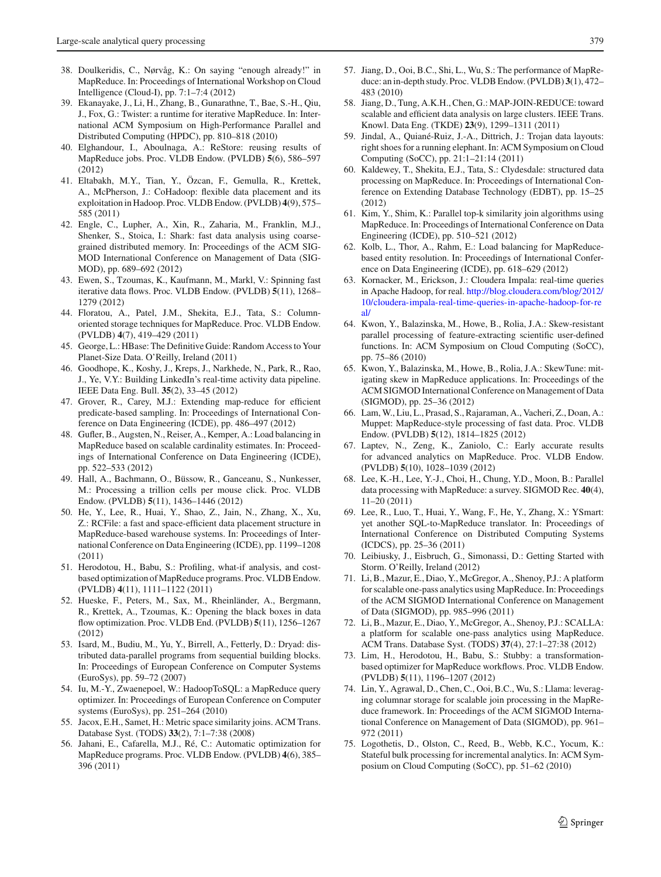- <span id="page-24-16"></span>38. Doulkeridis, C., Nørvåg, K.: On saying "enough already!" in MapReduce. In: Proceedings of International Workshop on Cloud Intelligence (Cloud-I), pp. 7:1–7:4 (2012)
- <span id="page-24-17"></span>39. Ekanayake, J., Li, H., Zhang, B., Gunarathne, T., Bae, S.-H., Qiu, J., Fox, G.: Twister: a runtime for iterative MapReduce. In: International ACM Symposium on High-Performance Parallel and Distributed Computing (HPDC), pp. 810–818 (2010)
- <span id="page-24-11"></span>40. Elghandour, I., Aboulnaga, A.: ReStore: reusing results of MapReduce jobs. Proc. VLDB Endow. (PVLDB) **5**(6), 586–597 (2012)
- <span id="page-24-6"></span>41. Eltabakh, M.Y., Tian, Y., Özcan, F., Gemulla, R., Krettek, A., McPherson, J.: CoHadoop: flexible data placement and its exploitation in Hadoop. Proc. VLDB Endow. (PVLDB) **4**(9), 575– 585 (2011)
- <span id="page-24-31"></span>42. Engle, C., Lupher, A., Xin, R., Zaharia, M., Franklin, M.J., Shenker, S., Stoica, I.: Shark: fast data analysis using coarsegrained distributed memory. In: Proceedings of the ACM SIG-MOD International Conference on Management of Data (SIG-MOD), pp. 689–692 (2012)
- <span id="page-24-32"></span>43. Ewen, S., Tzoumas, K., Kaufmann, M., Markl, V.: Spinning fast iterative data flows. Proc. VLDB Endow. (PVLDB) **5**(11), 1268– 1279 (2012)
- <span id="page-24-9"></span>44. Floratou, A., Patel, J.M., Shekita, E.J., Tata, S.: Columnoriented storage techniques for MapReduce. Proc. VLDB Endow. (PVLDB) **4**(7), 419–429 (2011)
- <span id="page-24-5"></span>45. George, L.: HBase: The Definitive Guide: Random Access to Your Planet-Size Data. O'Reilly, Ireland (2011)
- <span id="page-24-1"></span>46. Goodhope, K., Koshy, J., Kreps, J., Narkhede, N., Park, R., Rao, J., Ye, V.Y.: Building LinkedIn's real-time activity data pipeline. IEEE Data Eng. Bull. **35**(2), 33–45 (2012)
- <span id="page-24-14"></span>47. Grover, R., Carey, M.J.: Extending map-reduce for efficient predicate-based sampling. In: Proceedings of International Conference on Data Engineering (ICDE), pp. 486–497 (2012)
- <span id="page-24-27"></span>48. Gufler, B., Augsten, N., Reiser, A., Kemper, A.: Load balancing in MapReduce based on scalable cardinality estimates. In: Proceedings of International Conference on Data Engineering (ICDE), pp. 522–533 (2012)
- <span id="page-24-30"></span>49. Hall, A., Bachmann, O., Büssow, R., Ganceanu, S., Nunkesser, M.: Processing a trillion cells per mouse click. Proc. VLDB Endow. (PVLDB) **5**(11), 1436–1446 (2012)
- <span id="page-24-8"></span>50. He, Y., Lee, R., Huai, Y., Shao, Z., Jain, N., Zhang, X., Xu, Z.: RCFile: a fast and space-efficient data placement structure in MapReduce-based warehouse systems. In: Proceedings of International Conference on Data Engineering (ICDE), pp. 1199–1208 (2011)
- <span id="page-24-20"></span>51. Herodotou, H., Babu, S.: Profiling, what-if analysis, and costbased optimization of MapReduce programs. Proc. VLDB Endow. (PVLDB) **4**(11), 1111–1122 (2011)
- <span id="page-24-25"></span>52. Hueske, F., Peters, M., Sax, M., Rheinländer, A., Bergmann, R., Krettek, A., Tzoumas, K.: Opening the black boxes in data flow optimization. Proc. VLDB End. (PVLDB) **5**(11), 1256–1267 (2012)
- <span id="page-24-37"></span>53. Isard, M., Budiu, M., Yu, Y., Birrell, A., Fetterly, D.: Dryad: distributed data-parallel programs from sequential building blocks. In: Proceedings of European Conference on Computer Systems (EuroSys), pp. 59–72 (2007)
- <span id="page-24-23"></span>54. Iu, M.-Y., Zwaenepoel, W.: HadoopToSQL: a MapReduce query optimizer. In: Proceedings of European Conference on Computer systems (EuroSys), pp. 251–264 (2010)
- <span id="page-24-35"></span>55. Jacox, E.H., Samet, H.: Metric space similarity joins. ACM Trans. Database Syst. (TODS) **33**(2), 7:1–7:38 (2008)
- <span id="page-24-22"></span>56. Jahani, E., Cafarella, M.J., Ré, C.: Automatic optimization for MapReduce programs. Proc. VLDB Endow. (PVLDB) **4**(6), 385– 396 (2011)
- <span id="page-24-4"></span>57. Jiang, D., Ooi, B.C., Shi, L., Wu, S.: The performance of MapReduce: an in-depth study. Proc. VLDB Endow. (PVLDB) **3**(1), 472– 483 (2010)
- <span id="page-24-34"></span>58. Jiang, D., Tung, A.K.H., Chen, G.: MAP-JOIN-REDUCE: toward scalable and efficient data analysis on large clusters. IEEE Trans. Knowl. Data Eng. (TKDE) **23**(9), 1299–1311 (2011)
- <span id="page-24-10"></span>59. Jindal, A., Quiané-Ruiz, J.-A., Dittrich, J.: Trojan data layouts: right shoes for a running elephant. In: ACM Symposium on Cloud Computing (SoCC), pp. 21:1–21:14 (2011)
- <span id="page-24-19"></span>60. Kaldewey, T., Shekita, E.J., Tata, S.: Clydesdale: structured data processing on MapReduce. In: Proceedings of International Conference on Extending Database Technology (EDBT), pp. 15–25 (2012)
- <span id="page-24-36"></span>61. Kim, Y., Shim, K.: Parallel top-k similarity join algorithms using MapReduce. In: Proceedings of International Conference on Data Engineering (ICDE), pp. 510–521 (2012)
- <span id="page-24-26"></span>62. Kolb, L., Thor, A., Rahm, E.: Load balancing for MapReducebased entity resolution. In: Proceedings of International Conference on Data Engineering (ICDE), pp. 618–629 (2012)
- <span id="page-24-33"></span>63. Kornacker, M., Erickson, J.: Cloudera Impala: real-time queries in Apache Hadoop, for real. [http://blog.cloudera.com/blog/2012/](http://blog.cloudera.com/blog/2012/10/cloudera-impala-real-time-queries-in-apache-hadoop-for-real/) [10/cloudera-impala-real-time-queries-in-apache-hadoop-for-re](http://blog.cloudera.com/blog/2012/10/cloudera-impala-real-time-queries-in-apache-hadoop-for-real/) [al/](http://blog.cloudera.com/blog/2012/10/cloudera-impala-real-time-queries-in-apache-hadoop-for-real/)
- <span id="page-24-28"></span>64. Kwon, Y., Balazinska, M., Howe, B., Rolia, J.A.: Skew-resistant parallel processing of feature-extracting scientific user-defined functions. In: ACM Symposium on Cloud Computing (SoCC), pp. 75–86 (2010)
- <span id="page-24-29"></span>65. Kwon, Y., Balazinska, M., Howe, B., Rolia, J.A.: SkewTune: mitigating skew in MapReduce applications. In: Proceedings of the ACM SIGMOD International Conference on Management of Data (SIGMOD), pp. 25–36 (2012)
- <span id="page-24-2"></span>66. Lam, W., Liu, L., Prasad, S., Rajaraman, A., Vacheri, Z., Doan, A.: Muppet: MapReduce-style processing of fast data. Proc. VLDB Endow. (PVLDB) **5**(12), 1814–1825 (2012)
- <span id="page-24-15"></span>67. Laptev, N., Zeng, K., Zaniolo, C.: Early accurate results for advanced analytics on MapReduce. Proc. VLDB Endow. (PVLDB) **5**(10), 1028–1039 (2012)
- <span id="page-24-3"></span>68. Lee, K.-H., Lee, Y.-J., Choi, H., Chung, Y.D., Moon, B.: Parallel data processing with MapReduce: a survey. SIGMOD Rec. **40**(4), 11–20 (2011)
- <span id="page-24-21"></span>69. Lee, R., Luo, T., Huai, Y., Wang, F., He, Y., Zhang, X.: YSmart: yet another SQL-to-MapReduce translator. In: Proceedings of International Conference on Distributed Computing Systems (ICDCS), pp. 25–36 (2011)
- <span id="page-24-0"></span>70. Leibiusky, J., Eisbruch, G., Simonassi, D.: Getting Started with Storm. O'Reilly, Ireland (2012)
- <span id="page-24-12"></span>71. Li, B., Mazur, E., Diao, Y., McGregor, A., Shenoy, P.J.: A platform for scalable one-pass analytics using MapReduce. In: Proceedings of the ACM SIGMOD International Conference on Management of Data (SIGMOD), pp. 985–996 (2011)
- <span id="page-24-13"></span>72. Li, B., Mazur, E., Diao, Y., McGregor, A., Shenoy, P.J.: SCALLA: a platform for scalable one-pass analytics using MapReduce. ACM Trans. Database Syst. (TODS) **37**(4), 27:1–27:38 (2012)
- <span id="page-24-24"></span>73. Lim, H., Herodotou, H., Babu, S.: Stubby: a transformationbased optimizer for MapReduce workflows. Proc. VLDB Endow. (PVLDB) **5**(11), 1196–1207 (2012)
- <span id="page-24-7"></span>74. Lin, Y., Agrawal, D., Chen, C., Ooi, B.C., Wu, S.: Llama: leveraging columnar storage for scalable join processing in the MapReduce framework. In: Proceedings of the ACM SIGMOD International Conference on Management of Data (SIGMOD), pp. 961– 972 (2011)
- <span id="page-24-18"></span>75. Logothetis, D., Olston, C., Reed, B., Webb, K.C., Yocum, K.: Stateful bulk processing for incremental analytics. In: ACM Symposium on Cloud Computing (SoCC), pp. 51–62 (2010)